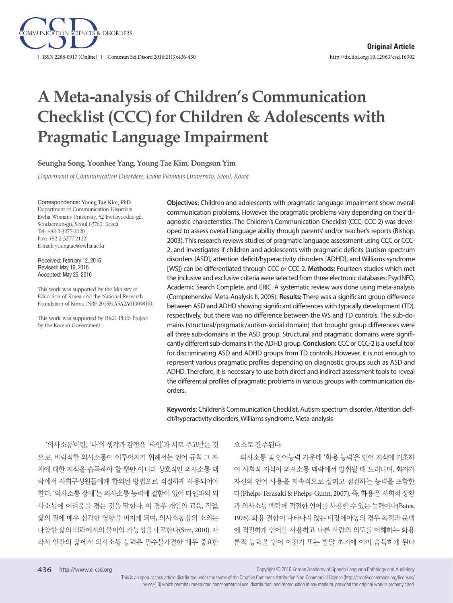

# **A Meta-analysis of Children's Communication Checklist (CCC) for Children & Adolescents with Pragmatic Language Impairment**

**Seungha Song, Yoonhee Yang, Young Tae Kim, Dongsun Yim**

*Department of Communication Disorders, Ewha Womans University, Seoul, Korea*

Correspondence: Young Tae Kim, PhD

Department of Communication Disorders, Ewha Womans University, 52 Ewhayeodae-gil, Seodaemun-gu, Seoul 03760, Korea Tel: +82-2-3277-2120 Fax: +82-2-3277-2122 E-mail: youngtae@ewha.ac.kr

Received: February 12, 2016 Revised: May 16, 2016 Accepted: May 25, 2016

This work was supported by the Ministry of Education of Korea and the National Research Foundation of Korea (NRF-2015S1A5A2A01009816).

This work was supported by BK21 PLUS Project by the Korean Government.

**Objectives:** Children and adolescents with pragmatic language impairment show overall communication problems. However, the pragmatic problems vary depending on their diagnostic characteristics. The Children's Communication Checklist (CCC, CCC-2) was developed to assess overall language ability through parents' and/or teacher's reports (Bishop, 2003). This research reviews studies of pragmatic language assessment using CCC or CCC-2, and investigates if children and adolescents with pragmatic deficits (autism spectrum disorders [ASD], attention deficit/hyperactivity disorders [ADHD], and Williams syndrome [WS]) can be differentiated through CCC or CCC-2. **Methods:** Fourteen studies which met the inclusive and exclusive criteria were selected from three electronic databases: PsycINFO, Academic Search Complete, and ERIC. A systematic review was done using meta-analysis (Comprehensive Meta-Analysis II, 2005). **Results:** There was a significant group difference between ASD and ADHD showing significant differences with typically development (TD), respectively, but there was no difference between the WS and TD controls. The sub-domains (structural/pragmatic/autism-social domain) that brought group differences were all three sub-domains in the ASD group. Structural and pragmatic domains were significantly different sub-domains in the ADHD group. **Conclusion:** CCC or CCC-2 is a useful tool for discriminating ASD and ADHD groups from TD controls. However, it is not enough to represent various pragmatic profiles depending on diagnostic groups such as ASD and ADHD. Therefore, it is necessary to use both direct and indirect assessment tools to reveal the differential profiles of pragmatic problems in various groups with communication disorders.

**Keywords:** Children's Communication Checklist, Autism spectrum disorder, Attention deficit/hyperactivity disorders, Williams syndrome, Meta-analysis

'의사소통'이란, '나'의 생각과 감정을 '타인'과 서로 주고받는 것 으로, 바람직한 의사소통이 이루어지기 위해서는 언어 규칙 그 자 체에 대한 지식을 습득해야 할 뿐만 아니라 상호적인 의사소통 맥 락에서 사회구성원들에게 합의된 방법으로 적절하게 사용되어야 한다. '의사소통 장애'는 의사소통 능력에 결함이 있어 타인과의 의 사소통에 어려움을 겪는 것을 말한다. 이 경우 개인의 교육, 직업, 삶의 질에 매우 심각한 영향을 미치게 되며, 의사소통상의 소외는 다양한 삶의 맥락에서의 불이익 가능성을 내포한다(Sim, 2010). 따 라서 인간의 삶에서 의사소통 능력은 필수불가결한 매우 중요한

#### 요소로간주된다.

의사소통 및 언어능력 가운데 '화용 능력'은 언어 지식에 기초하 여 사회적 지식이 의사소통 맥락에서 발휘될 때 드러나며, 화자가 자신의 언어 사용을 지속적으로 살피고 점검하는 능력을 포함한 다(Phelps-Terasaki & Phelps-Gunn, 2007). 즉, 화용은 사회적 상황 과 의사소통 맥락에 적절한 언어를 사용할 수 있는 능력이다(Bates, 1976). 화용 결함이 나타나지 않는 비장애아동의 경우 목적과 문맥 에 적절하게 언어를 사용하고 다른 사람의 의도를 이해하는 화용 론적 능력을 언어 이전기 또는 발달 초기에 이미 습득하게 된다

Copyright © 2016 Korean Academy of Speech-Language Pathology and Audiology

This is an open-access article distributed under the terms of the Creative Commons Attribution Non-Commercial License (http://creativecommons.org/licenses/ by-nc/4.0) which permits unrestricted noncommercial use, distribution, and reproduction in any medium, provided the original work is properly cited.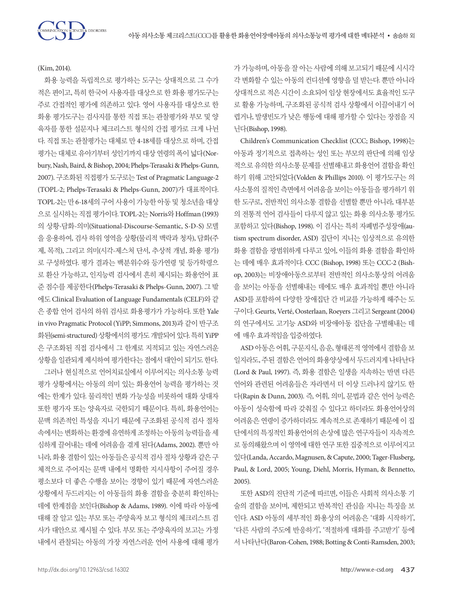(Kim, 2014).

SCIENCES & DISORDERS

화용 능력을 독립적으로 평가하는 도구는 상대적으로 그 수가 적은 편이고, 특히 한국어 사용자를 대상으로 한 화용 평가도구는 주로 간접적인 평가에 의존하고 있다. 영어 사용자를 대상으로 한 화용 평가도구는 검사지를 통한 직접 또는 관찰평가와 부모 및 양 육자를 통한 설문지나 체크리스트 형식의 간접 평가로 크게 나뉜 다. 직접 또는 관찰평가는 대체로 만 4-18세를 대상으로 하며, 간접 평가는 대체로 유아기부터 성인기까지 대상 연령의 폭이 넓다(Norbury, Nash, Baird, & Bishop, 2004; Phelps-Terasaki & Phelps-Gunn, 2007). 구조화된 직접평가 도구로는 Test of Pragmatic Language-2 (TOPL-2; Phelps-Terasaki & Phelps-Gunn, 2007)가 대표적이다. TOPL-2는 만 6-18세의 구어 사용이 가능한 아동 및 청소년을 대상 으로 실시하는 직접 평가이다. TOPL-2는 Norris와 Hoffman (1993) 의 상황-담화-의미(Situational-Discourse-Semantic, S-D-S) 모델 을 응용하여, 검사 하위 영역을 상황(물리적 맥락과 청자), 담화(주 제, 목적), 그리고 의미(시각-제스처 단서, 추상적 개념, 화용 평가) 로 구성하였다. 평가 결과는 백분위수와 등가연령 및 등가학령으 로 환산 가능하고, 인지능력 검사에서 흔히 제시되는 화용언어 표 준 점수를 제공한다(Phelps-Terasaki & Phelps-Gunn, 2007). 그 밖 에도 Clinical Evaluation of Language Fundamentals (CELF)와 같 은 종합 언어 검사의 하위 검사로 화용평가가 가능하다. 또한 Yale in vivo Pragmatic Protocol (YiPP; Simmons, 2013)과 같이 반구조 화된(semi-structured) 상황에서의 평가도 개발되어 있다. 특히 YiPP 은 구조화된 직접 검사에서 그 한계로 지적되고 있는 자연스러운 상황을 일관되게 제시하여 평가한다는 점에서 대안이 되기도 한다. 그러나 현실적으로 언어치료실에서 이루어지는 의사소통 능력 평가 상황에서는 아동의 의미 있는 화용언어 능력을 평가하는 것 에는 한계가 있다. 물리적인 변화 가능성을 비롯하여 대화 상대자 또한 평가자 또는 양육자로 국한되기 때문이다. 특히, 화용언어는 문맥 의존적인 특성을 지니기 때문에 구조화된 공식적 검사 절차 속에서는 변화하는 환경에 유연하게 조정하는 아동의 능력들을 세 심하게 끌어내는 데에 어려움을 겪게 된다(Adams, 2002). 뿐만 아 니라, 화용 결함이 있는 아동들은 공식적 검사 절차 상황과 같은 구 체적으로 주어지는 문맥 내에서 명확한 지시사항이 주어질 경우 평소보다 더 좋은 수행을 보이는 경향이 있기 때문에 자연스러운 상황에서 두드러지는 이 아동들의 화용 결함을 충분히 확인하는 데에 한계점을 보인다(Bishop & Adams, 1989). 이에 따라 아동에 대해 잘 알고 있는 부모 또는 주양육자 보고 형식의 체크리스트 검 사가 대안으로 제시될 수 있다. 부모 또는 주양육자의 보고는 가정 내에서 관찰되는 아동의 가장 자연스러운 언어 사용에 대해 평가

가 가능하며, 아동을 잘 아는 사람에 의해 보고되기 때문에 시시각 각 변화할 수 있는 아동의 컨디션에 영향을 덜 받는다. 뿐만 아니라 상대적으로 적은 시간이 소요되어 임상 현장에서도 효율적인 도구 로 활용 가능하며, 구조화된 공식적 검사 상황에서 이끌어내기 어 렵거나, 발생빈도가 낮은 행동에 대해 평가할 수 있다는 장점을 지 닌다(Bishop, 1998).

Children's Communication Checklist (CCC; Bishop, 1998)는 아동과 정기적으로 접촉하는 성인 또는 부모의 판단에 의해 임상 적으로유의한의사소통문제를선별해내고화용언어결함을확인 하기 위해 고안되었다(Volden & Phillips 2010). 이 평가도구는 의 사소통의 질적인 측면에서 어려움을 보이는 아동들을 평가하기 위 한 도구로, 전반적인 의사소통 결함을 선별할 뿐만 아니라, 대부분 의 전통적 언어 검사들이 다루지 않고 있는 화용 의사소통 평가도 포함하고 있다(Bishop, 1998). 이 검사는 특히 자폐범주성장애(autism spectrum disorder, ASD) 집단이 지니는 임상적으로 유의한 화용 결함을 광범위하게 다루고 있어, 이들의 화용 결함을 확인하 는 데에 매우 효과적이다. CCC (Bishop, 1998) 또는 CCC-2 (Bishop, 2003)는 비장애아동으로부터 전반적인 의사소통상의 어려움 을 보이는 아동을 선별해내는 데에도 매우 효과적일 뿐만 아니라 ASD를 포함하여 다양한 장애집단 간 비교를 가능하게 해주는 도 구이다. Geurts, Verté, Oosterlaan, Roeyers 그리고 Sergeant (2004) 의 연구에서도 고기능 ASD와 비장애아동 집단을 구별해내는 데 에 매우효과적임을입증하였다.

ASD 아동은 어휘, 구문지식, 음운, 형태론적 영역에서 결함을 보 일지라도, 주된 결함은 언어의 화용양상에서 두드러지게 나타난다 (Lord & Paul, 1997). 즉, 화용 결함은 일생을 지속하는 반면 다른 언어와 관련된 어려움들은 자라면서 더 이상 드러나지 않기도 한 다(Rapin & Dunn, 2003). 즉, 어휘, 의미, 문법과 같은 언어 능력은 아동이 성숙함에 따라 갖춰질 수 있다고 하더라도 화용언어상의 어려움은 연령이 증가하더라도 계속적으로 존재하기 때문에 이 집 단에서의 특징적인 화용언어의 손상에 많은 연구자들이 지속적으 로 동의해왔으며 이 영역에 대한 연구 또한 집중적으로 이루어지고 있다(Landa, Accardo, Magnusen, & Capute, 2000; Tager-Flusberg, Paul, & Lord, 2005; Young, Diehl, Morris, Hyman, & Bennetto, 2005).

또한 ASD의 진단적 기준에 따르면, 이들은 사회적 의사소통 기 술의 결함을 보이며, 제한되고 반복적인 관심을 지니는 특징을 보 인다. ASD 아동의 세부적인 화용상의 어려움은 '대화 시작하기', '다른 사람의 주도에 반응하기', '적절하게 대화를 주고받기' 등에 서 나타난다(Baron-Cohen, 1988; Botting & Conti-Ramsden, 2003;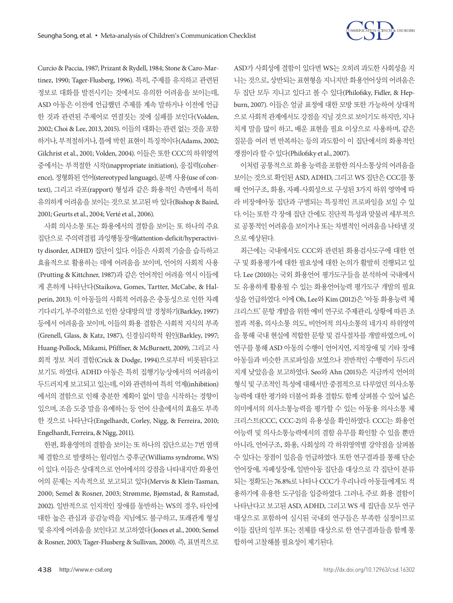

Curcio & Paccia, 1987; Prizant & Rydell, 1984; Stone & Caro-Martinez, 1990; Tager-Flusberg, 1996). 특히, 주제를 유지하고 관련된 정보로 대화를 발전시키는 것에서도 유의한 어려움을 보이는데, ASD 아동은 이전에 언급했던 주제를 계속 말하거나 이전에 언급 한 것과 관련된 주제어로 연결짓는 것에 실패를 보인다(Volden, 2002; Choi & Lee, 2013, 2015). 이들의 대화는 관련 없는 것을 포함 하거나, 부적절하거나, 틀에 박힌 표현이 특징적이다(Adams, 2002; Gilchrist et al., 2001; Volden, 2004). 이들은 또한 CCC의 하위영역 중에서는 부적절한 시작(inappropriate initiation), 응집력(coherence), 정형화된 언어(stereotyped language), 문맥 사용(use of context), 그리고 라포(rapport) 형성과 같은 화용적인 측면에서 특히 유의하게 어려움을 보이는 것으로 보고된 바 있다(Bishop & Baird, 2001; Geurts et al., 2004; Verté et al., 2006).

사회 의사소통 또는 화용에서의 결함을 보이는 또 하나의 주요 집단으로 주의력결핍 과잉행동장애(attention-deficit/hyperactivity disorder, ADHD) 집단이 있다. 이들은 사회적 기술을 습득하고 효율적으로 활용하는 데에 어려움을 보이며, 언어의 사회적 사용 (Prutting & Kittchner, 1987)과 같은 언어적인 어려움 역시 이들에 게 흔하게 나타난다(Staikova, Gomes, Tartter, McCabe, & Halperin, 2013). 이 아동들의 사회적 어려움은 충동성으로 인한 차례 기다리기, 부주의함으로 인한 상대방의 말 경청하기(Barkley, 1997) 등에서 어려움을 보이며, 이들의 화용 결함은 사회적 지식의 부족 (Grenell, Glass, & Katz, 1987), 신경심리학적 원인(Barkley, 1997; Huang-Pollock, Mikami, Pfiffner, & McBurnett, 2009), 그리고 사 회적 정보 처리 결함(Crick & Dodge, 1994)으로부터 비롯된다고 보기도 하였다. ADHD 아동은 특히 집행기능상에서의 어려움이 두드러지게 보고되고 있는데, 이와 관련하여 특히 억제(inhibition) 에서의 결함으로 인해 충분한 계획이 없이 말을 시작하는 경향이 있으며, 조음 도중 말을 유예하는 등 언어 산출에서의 효율도 부족 한 것으로 나타난다(Engelhardt, Corley, Nigg, & Ferreira, 2010; Engelhardt, Ferreira, & Nigg, 2011).

한편, 화용영역의 결함을 보이는 또 하나의 집단으로는 7번 염색 체 결함으로 발생하는 윌리엄스 증후군(Williams syndrome, WS) 이 있다. 이들은 상대적으로 언어에서의 강점을 나타내지만 화용언 어의 문제는 지속적으로 보고되고 있다(Mervis & Klein-Tasman, 2000; Semel & Rosner, 2003; Strømme, Bjømstad, & Ramstad, 2002). 일반적으로 인지적인 장애를 동반하는 WS의 경우, 타인에 대한 높은 관심과 공감능력을 지님에도 불구하고, 또래관계 형성 및 유지에 어려움을 보인다고 보고하였다(Jones et al., 2000; Semel & Rosner, 2003; Tager-Flusberg & Sullivan, 2000). 즉, 표면적으로

ASD가 사회성에 결함이 있다면 WS는 오히려 과도한 사회성을 지 니는 것으로, 상반되는 표현형을 지니지만 화용언어상의 어려움은 두 집단 모두 지니고 있다고 볼 수 있다(Philofsky, Fidler, & Hepburn, 2007). 이들은 얼굴 표정에 대한 모방 또한 가능하여 상대적 으로사회적 관계에서도강점을 지닐 것으로 보이기도 하지만, 지나 치게 말을 많이 하고, 배운 표현을 필요 이상으로 사용하며, 같은 질문을 여러 번 반복하는 등의 과도함이 이 집단에서의 화용적인 쟁점이라할수있다(Philofsky et al., 2007).

이처럼공통적으로 화용능력을포함한의사소통상의어려움을 보이는 것으로 확인된 ASD, ADHD, 그리고 WS 집단은 CCC를 통 해 언어구조, 화용, 자폐-사회성으로 구성된 3가지 하위 영역에 따 라 비장애아동 집단과 구별되는 특징적인 프로파일을 보일 수 있 다. 이는 또한 각 장애 집단 간에도 진단적 특성과 맞물려 세부적으 로 공통적인 어려움을 보이거나 또는 차별적인 어려움을 나타낼 것 으로예상된다.

최근에는 국내에서도 CCC와 관련된 화용검사도구에 대한 연 구 및 화용평가에 대한 필요성에 대한 논의가 활발히 진행되고 있 다. Lee (2010)는 국외 화용언어 평가도구들을 분석하여 국내에서 도 유용하게 활용될 수 있는 화용언어능력 평가도구 개발의 필요 성을 언급하였다. 이에 Oh, Lee와 Kim (2012)은 '아동 화용능력 체 크리스트' 문항 개발을 위한 예비 연구로 주제관리, 상황에 따른 조 절과 적용, 의사소통 의도, 비언어적 의사소통의 네가지 하위영역 을 통해 국내 현실에 적합한 문항 및 검사절차를 개발하였으며, 이 연구를 통해 ASD 아동의 수행이 언어지연, 지적장애 및 기타 장애 아동들과 비슷한 프로파일을 보였으나 전반적인 수행력이 두드러 지게 낮았음을 보고하였다. Seo와 Ahn (2015)은 지금까지 언어의 형식 및 구조적인 특성에 대해서만 중점적으로 다루었던 의사소통 능력에 대한 평가와 더불어 화용 결함도 함께 살펴볼 수 있어 넓은 의미에서의 의사소통능력을 평가할 수 있는 아동용 의사소통 체 크리스트(CCC, CCC-2)의 유용성을 확인하였다. CCC는 화용언 어능력 및 의사소통능력에서의 결함 유무를 확인할 수 있을 뿐만 아니라, 언어구조, 화용, 사회성의 각 하위영역별 강약점을 살펴볼 수 있다는 장점이 있음을 언급하였다. 또한 연구결과를 통해 단순 언어장애, 자폐성장애, 일반아동 집단을 대상으로 각 집단이 분류 되는 정확도는 76.8%로 나타나 CCC가 우리나라 아동들에게도 적 용하기에 유용한 도구임을 입증하였다. 그러나, 주로 화용 결함이 나타난다고 보고된 ASD, ADHD, 그리고 WS 세 집단을 모두 연구 대상으로 포함하여 실시된 국내외 연구들은 부족한 실정이므로 이들 집단의 일부 또는 전체를 대상으로 한 연구결과들을 함께 통 합하여고찰해볼필요성이제기된다.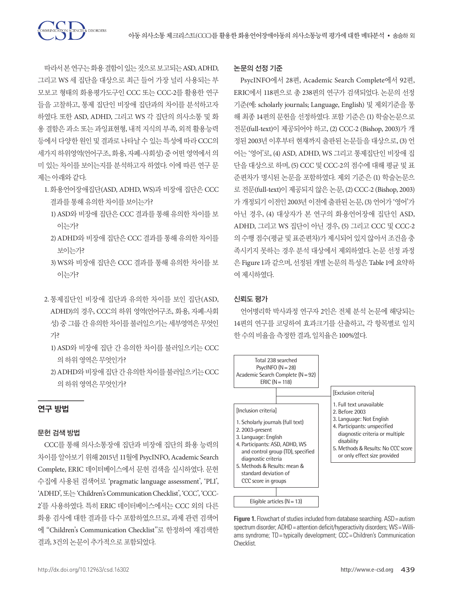따라서본연구는화용결함이있는것으로보고되는 ASD, ADHD, 그리고 WS 세 집단을 대상으로 최근 들어 가장 널리 사용되는 부 모보고 형태의 화용평가도구인 CCC 또는 CCC-2를 활용한 연구 들을 고찰하고, 통제 집단인 비장애 집단과의 차이를 분석하고자 하였다. 또한 ASD, ADHD, 그리고 WS 각 집단의 의사소통 및 화 용 결함은 과소 또는 과잉표현형, 내적 지식의 부족, 외적 활용능력 등에서 다양한 원인 및 결과로 나타날 수 있는 특성에 따라 CCC의 세가지 하위영역(언어구조, 화용, 자폐-사회성) 중 어떤 영역에서 의 미 있는 차이를 보이는지를 분석하고자 하였다. 이에 따른 연구 문 제는아래와같다.

**ENCES & DISORDERS** 

- 1. 화용언어장애집단(ASD, ADHD, WS)과 비장애 집단은 CCC 결과를통해유의한차이를보이는가?
	- 1) ASD와 비장애 집단은 CCC 결과를 통해 유의한 차이를 보 이는가?
	- 2) ADHD와 비장애 집단은 CCC 결과를 통해 유의한 차이를 보이는가?
	- 3) WS와 비장애 집단은 CCC 결과를 통해 유의한 차이를 보 이는가?
- 2. 통제집단인 비장애 집단과 유의한 차이를 보인 집단(ASD, ADHD)의 경우, CCC의 하위 영역(언어구조, 화용, 자폐-사회 성) 중 그룹 간 유의한 차이를 불러일으키는 세부영역은 무엇인 가?
	- 1) ASD와 비장애 집단 간 유의한 차이를 불러일으키는 CCC 의하위영역은무엇인가?
	- 2) ADHD와비장애집단간유의한차이를불러일으키는 CCC 의하위영역은무엇인가?

## 연구 방법

#### 문헌 검색 방법

CCC를 통해 의사소통장애 집단과 비장애 집단의 화용 능력의 차이를 알아보기 위해 2015년 11월에 PsycINFO, Academic Search Complete, ERIC 데이터베이스에서 문헌 검색을 실시하였다. 문헌 수집에 사용된 검색어로 'pragmatic language assessment', 'PLI', 'ADHD', 또는'Children's Communication Checklist', 'CCC', 'CCC-2'를 사용하였다. 특히 ERIC 데이터베이스에서는 CCC 외의 다른 화용 검사에 대한 결과를 다수 포함하였으므로, 과제 관련 검색어 에 "Children's Communication Checklist"로 한정하여 재검색한 결과, 3건의논문이추가적으로포함되었다.

#### 논문의 선정 기준

PsycINFO에서 28편, Academic Search Complete에서 92편, ERIC에서 118편으로 총 238편의 연구가 검색되었다. 논문의 선정 기준(예: scholarly journals; Language, English) 및 제외기준을 통 해 최종 14편의 문헌을 선정하였다. 포함 기준은 (1) 학술논문으로 전문(full-text)이 제공되어야 하고, (2) CCC-2 (Bishop, 2003)가 개 정된 2003년 이후부터 현재까지 출판된 논문들을 대상으로, (3) 언 어는 '영어'로, (4) ASD, ADHD, WS 그리고 통제집단인 비장애 집 단을 대상으로 하며, (5) CCC 및 CCC-2의 점수에 대해 평균 및 표 준편차가 명시된 논문을 포함하였다. 제외 기준은 (1) 학술논문으 로 전문(full-text)이 제공되지 않은 논문, (2) CCC-2 (Bishop, 2003) 가 개정되기 이전인 2003년 이전에 출판된 논문, (3) 언어가 '영어'가 아닌 경우, (4) 대상자가 본 연구의 화용언어장애 집단인 ASD, ADHD, 그리고 WS 집단이 아닌 경우, (5) 그리고 CCC 및 CCC-2 의 수행 점수(평균 및 표준편차)가 제시되어 있지 않아서 조건을 충 족시키지 못하는 경우 분석 대상에서 제외하였다. 논문 선정 과정 은 Figure 1과 같으며, 선정된 개별 논문의 특성은 Table 1에 요약하 여제시하였다.

#### 신뢰도 평가

언어병리학 박사과정 연구자 2인은 전체 분석 논문에 해당되는 14편의 연구를 코딩하여 효과크기를 산출하고, 각 항목별로 일치 한수의비율을측정한결과, 일치율은 100%였다.



**Figure 1.** Flowchart of studies included from database searching. ASD = autism spectrum disorder; ADHD = attention deficit/hyperactivity disorders; WS = Williams syndrome; TD = typically development; CCC = Children's Communication Checklist.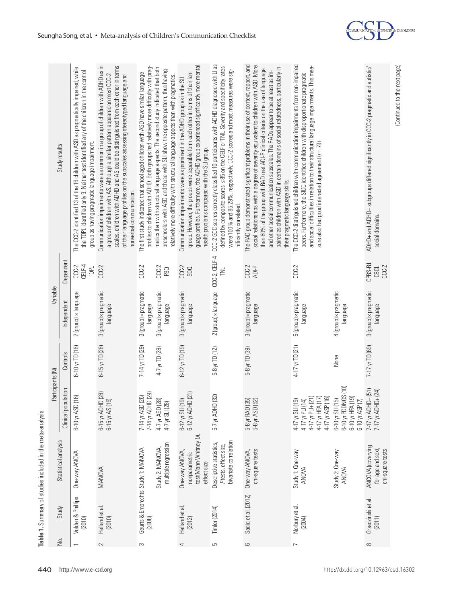|          |                              | Table 1. Summary of studies included in the meta-analysis                     | Participants (N)                                                                                   |                                   | Variable                                                               |                                  |                                                                                                                                                                                                                                                                                                                                                                                                                                                                                    |
|----------|------------------------------|-------------------------------------------------------------------------------|----------------------------------------------------------------------------------------------------|-----------------------------------|------------------------------------------------------------------------|----------------------------------|------------------------------------------------------------------------------------------------------------------------------------------------------------------------------------------------------------------------------------------------------------------------------------------------------------------------------------------------------------------------------------------------------------------------------------------------------------------------------------|
| δq       | Study                        | Statistical analysis                                                          | pulation<br>Clinical po                                                                            | Controls                          | Independent                                                            | Dependent                        | Study results                                                                                                                                                                                                                                                                                                                                                                                                                                                                      |
|          | Volden & Phillips<br>(2010)  | One-way ANOVA                                                                 | 6-10 yr ASD (16)                                                                                   | $6 - 10y$ TD (16)                 | $2$ (group) $\times$ language                                          | CELF-4<br>$CCC-2$<br>TOPL        | The CCC-2 identified 13 of the 16 children with ASD as pragmatically impaired, while<br>the TOPL identified only 9. Neither test identified any of the children in the control<br>group as having pragmatic language impairment                                                                                                                                                                                                                                                    |
| 2        | Helland et al.<br>(2010)     | MANOVA                                                                        | 6-15 yr ADHD (28)<br>6-15 yr AS (19)                                                               | $6-15$ yr TD (28)                 | 3 (group) × pragmatic<br>language                                      | CCC-2                            | Communication impairments were as common in a group of children with ADHD as in<br>scales, children with ADHD and AS could be distinguished from each other in terms<br>a group of children with AS. Although a similar pattern appeared on most CCC-2<br>of their language profiles on the subscales assessing stereotyped language and<br>nonverbal communication.                                                                                                               |
| S        | (2008)                       | multiple regression<br>Geurts & Embrechts Study 1: MANOVA<br>Study 2: MANOVA, | 7-14 yr ADHD (29)<br>(26)<br>4-7 yr ASD (28)<br>4-7 yr SLI (28)<br>7-14 yr ASD                     | 7-14 yr TD (29)<br>4-7 yr TD (28) | 3 (group) × pragmatic<br>3 (group) × pragmatic<br>language<br>language | $CCC-2$<br>$CCC-2$<br><b>PBO</b> | profiles to children with ADHD. Both groups had relatively more difficulty with prag-<br>matics than with structural language aspects. The second study indicated that both<br>preschoolers with ASD and those with SLI show the opposite pattern, thus having<br>The first study indicated that school aged children with ASD have similar language<br>relatively more difficulty with structural language aspects than with pragmatics.                                          |
|          | Helland et al.<br>(2012)     | test(Mann-Whitney U),<br>One-way ANOVA,<br>nonparametric<br>effect size       | 6-12 yr SLI (19)<br>6-12 yr ADHD (21)                                                              | $6-12$ yr TD (19)                 | 3 (group) × pragmatic<br>language                                      | $CCC-2$<br>SDQ                   | guage profiles. Furthermore, the ADHD group experienced significantly more mental<br>group. However, the groups were separable form each other in terms of their lan-<br>Communication impairments were as prominent in the ADHD group as in the SLI<br>health problems compared with the SLI group.                                                                                                                                                                               |
| 5        | Timler (2014)                | bivariate correlation<br>Descriptive statistics,<br>Ftests, effect size,      | 5-7 yr ADHD (32)                                                                                   | 5-8 yr TD (12)                    | $2$ (group) $\times$ language                                          | CCC-2, CELF-4                    | CCC-2 GCC scores correctly classified 10 participants with ADHD diagnosed with LI as<br>defined by composite scores < 85 on the CELF or TNL. Severity and specificity rates<br>were 100% and 85.29%, respectively. CCC-2 scores and most measures were sig-<br>nificantly correlated.                                                                                                                                                                                              |
| 6        | Sadiq et al. (2012)          | chi-square tests<br>One-way ANOVA,                                            | $(35)$<br>52)<br>5-8 yr RAD (3<br>5-8 yr ASD (5                                                    | 5-8 yr TD (39)                    | 3 (group) × pragmatic<br>language                                      | $CCC-2$<br>ADI-R                 | The RAD group demonstrated significant problems in their use of context, rapport, and<br>social relationships with a degree of severity equivalent to children with ASD. More<br>paired as children with ASD in certain domains of social relatedness, particularly in<br>than 60% of the group with RAD met ADI-R clinical criteria on the use of language<br>and other social communication subscales. The RADs appear to be at least as im-<br>their pragmatic language skills. |
|          | Norbury et al.<br>(2004)     | Study 1: One-way<br><b>ANOVA</b>                                              | $4-17$ yr PLI+ (21)<br>4-17 yr HFA (17)<br>4-17 yr ASP (16)<br>4-17 yr PLI (14)<br>4-17 yr SL (19) | 4-17 yr TD (21)                   | 5 (group) × pragmatic<br>language                                      | $CCC-2$                          | The CCC-2 distinguished children with communication impairments from non-impaired<br>and social difficulties in relation to their structural language impairments. This mea-<br>peers. Furthermore, the SIDC identified children with disproportionate pragmatic<br>sure also had good interacted agreement (r=.79)                                                                                                                                                                |
|          |                              | Study 2: One-way<br><b>ANOVA</b>                                              | 6-10 yr PDDNOS (10)<br>6-10 yr HFA (19)<br>$6 - 10$ yr $SL(15)$<br>6-10 yr ASP (7)                 | None                              | 4 (group) × pragmatic<br>language                                      |                                  |                                                                                                                                                                                                                                                                                                                                                                                                                                                                                    |
| $\infty$ | Grzadzinski et al.<br>(2011) | ANCOVA (covarying<br>for age and sex),<br>chi-square tests                    | 7-17 yr ADHD- (51)<br>7-17 yr ADHD+ (24)                                                           | $7-17$ yr TD (69)                 | 3 (group) × pragmatic<br>language                                      | CPRS-R:L<br>$CCC-2$<br>CBCL      | ADHD+ and ADHD- subgroups differed significantly in CCC-2 pragmatic and autistic/<br>social domains.                                                                                                                                                                                                                                                                                                                                                                               |

Table 1. Summary of studies included in the meta-analysis



(Continued to the next page)

(Continued to the next page)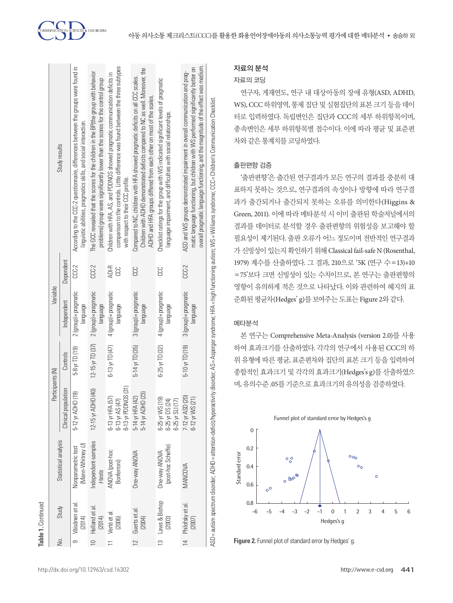| Δo.            |                            |                                        | Participants (N)                                                      |                        | Variable                          |           |                                                                                                                                                                                                                                                           |
|----------------|----------------------------|----------------------------------------|-----------------------------------------------------------------------|------------------------|-----------------------------------|-----------|-----------------------------------------------------------------------------------------------------------------------------------------------------------------------------------------------------------------------------------------------------------|
|                | Study                      | Statistical analysis                   | Clinical population                                                   | Controls               | Independent                       | Dependent | Study results                                                                                                                                                                                                                                             |
| σ.             | Väisänen et al.<br>(2014)  | (Mann-Whitney U)<br>Nonparametric test | 5-12 yr ADHD (19)                                                     | 5-8 yr TD (19)         | 2 (group) × pragmatic<br>lanppus  | $CCC-2$   | According to the CCC-2 questionnaire, differences between the groups were found in<br>Inguistic abilities, pragmatics skills, and social interaction                                                                                                      |
|                | Helland et al.<br>(2014)   | Independent-samples<br>t-tests         | 12-15 yr ADHD (40)                                                    | $12 - 15$ yr TD $(37)$ | 2 (group) × pragmatic<br>lanppone | $CCC-2$   | The GCC revealed that the scores for the children in the BP(the group with behavior<br>problems) group were significantly lower than the scores for the control group                                                                                     |
|                | Verté et al.<br>(2006)     | ANOVA (post-hoc<br>Bonferroni)         | $-13$ yr PDDNOS $(31)$<br>57)<br>$6 - 13$ yr AS(4)<br>$6-13$ yr HFA ( | 6-13 yr TD (47)        | 4 (group) × pragmatic<br>lanping  | ADI-R     | comparison to the controls. Little difference was found between the three subtypes<br>Children with HFA, AS, and PDDNOS showed pragmatic communication deficits in<br>with respect to their CCC profile                                                   |
| $\overline{2}$ | Guerts et al.<br>(2004)    | One-way ANOVA                          | 5-14 yr ADHD (23)<br>(42)<br>5-14 yr HFA (                            | 5-14 yr TD (35)        | 3 (group) × pragmatic<br>language | CCC       | Children with ADHD demonstrated deficits compared to NC as well. Moreover, the<br>Compared to NC, children with HFA showed pragmatic deficits on all CCC scales.<br>ADHD and HFA groups differed from each other on most of the scales.                   |
|                | 13 Laws & Bishop<br>(2003) | (post-hoc Scheffe)<br>One-way ANOVA    | $6 - 25$ yr WS (19)<br>6-25 yr DS (24)<br>$6 - 25$ yr SLI(17)         | 6-25 yr TD (32)        | 4 (group) × pragmatic<br>lanping  | 33        | Checklist ratings for the group with WS indicated significant levels of pragmatic<br>language impairment, and difficulties with social relationships.                                                                                                     |
| $\overline{1}$ | Philofsky et al.<br>(2007) | MANCOVA                                | (20)<br>$6-12$ yr WS (21)<br>7-12 yr ASD                              | 5-10 yr TD (19)        | 3 (group) × pragmatic<br>lanping  | $CCC-2$   | overall pragmatic language functioning, and the magnitude of the effect was medium.<br>matic language functioning, but children with WS performed significantly better on<br>ASD and WS groups demonstrated impairment in overall communication and prag- |
|                |                            |                                        |                                                                       |                        |                                   |           | ASD = autism spectrum disorder; ADHD = attention-deficit/hyperactivity disorder; Asperger syndrome; HFA = high functioning autism; WS = Williams syndrome; CCC = Children's Communication Checklist                                                       |

## 자료의 분석

## 자료의 코딩

연구자, 게재연도, 연구 내 대상아동의 장애 유형(ASD, ADHD, WS), CCC 하위영역, 통제 집단 및 실험집단의 표본 크기 등을 데이 터로 입력하였다. 독립변인은 집단과 CCC의 세부 하위항목이며, 종속변인은 세부 하위항목별 점수이다. 이에 따라 평균 및 표준편 차와같은통계치를코딩하였다.

## 출판편향 검증

'출판편향'은 출간된 연구결과가 모든 연구의 결과를 충분히 대 표하지 못하는 것으로, 연구결과의 속성이나 방향에 따라 연구결 과가 출간되거나 출간되지 못하는 오류를 의미한다(Higgins & Green, 2011). 이에 따라 메타분석 시 이미 출판된 학술저널에서의 결과를 데이터로 분석할 경우 출판편향의 위험성을 보고해야 할 필요성이 제기된다. 출판 오류가 어느 정도이며 전반적인 연구결과 가 신빙성이 있는지 확인하기 위해 Classical fail-safe N (Rosenthal, 1979) 계수를 산출하였다. 그 결과, 210으로 '5K (연구 수=13)+10 =75'보다 크면 신빙성이 있는 수치이므로, 본 연구는 출판편향의 영향이 유의하게 적은 것으로 나타났다. 이와 관련하여 헤지의 표 준화된 평균차(Hedges' g)를 보여주는 도표는 Figure 2와 같다.

## 메타분석

본 연구는 Comprehensive Meta-Analysis (version 2.0)를 사용 하여 효과크기를 산출하였다. 각각의 연구에서 사용된 CCC의 하 위 유형에 따른 평균, 표준편차와 집단의 표본 크기 등을 입력하여 종합적인 효과크기 및 각각의 효과크기(Hedges's g)를 산출하였으 며, 유의수준 .05를기준으로효과크기의유의성을검증하였다.



**Figure 2.** Funnel plot of standard error by Hedges' g.

**Table 1.**

Continued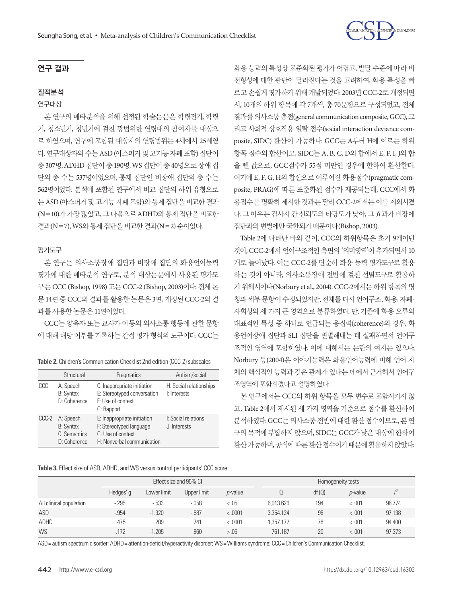

#### 연구 결과

#### 질적분석

#### 연구대상

본 연구의 메타분석을 위해 선정된 학술논문은 학령전기, 학령 기, 청소년기, 청년기에 걸친 광범위한 연령대의 참여자를 대상으 로 하였으며, 연구에 포함된 대상자의 연령범위는 4세에서 25세였 다. 연구대상자의수는 ASD (아스퍼거및고기능자폐포함) 집단이 총 307명, ADHD 집단이총 190명, WS 집단이총 40명으로장애집 단의 총 수는 537명이었으며, 통제 집단인 비장애 집단의 총 수는 562명이었다. 분석에 포함된 연구에서 비교 집단의 하위 유형으로 는 ASD (아스퍼거 및 고기능 자폐 포함)와 통제 집단을 비교한 결과 (N=10)가가장많았고, 그다음으로 ADHD와통제집단을비교한 결과(N=7), WS와통제집단을비교한결과(N=2) 순이었다.

#### 평가도구

본 연구는 의사소통장애 집단과 비장애 집단의 화용언어능력 평가에 대한 메타분석 연구로, 분석 대상논문에서 사용된 평가도 구는 CCC (Bishop, 1998) 또는 CCC-2 (Bishop, 2003)이다. 전체 논 문 14편 중 CCC의 결과를 활용한 논문은 3편, 개정된 CCC-2의 결 과를사용한논문은 11편이었다.

CCC는 양육자 또는 교사가 아동의 의사소통 행동에 관한 문항 에 대해 해당 여부를 기록하는 간접 평가 형식의 도구이다. CCC는

|  |  |  |  |  | <b>Table 2.</b> Children's Communication Checklist 2nd edition (CCC-2) subscales |
|--|--|--|--|--|----------------------------------------------------------------------------------|
|--|--|--|--|--|----------------------------------------------------------------------------------|

|       | Structural                                                    | Pragmatics                                                                                                | Autism/social                           |
|-------|---------------------------------------------------------------|-----------------------------------------------------------------------------------------------------------|-----------------------------------------|
| CCC   | A: Speech<br>B: Syntax<br>D: Coherence                        | C: Inappropriate initiation<br>E: Stereotyped conversation<br>F: Use of context<br>G: Rapport             | H: Social relationships<br>I: Interests |
| CCC-2 | A: Speech<br><b>B:</b> Syntax<br>C: Semantics<br>D: Coherence | E: Inappropriate initiation<br>F: Stereotyped language<br>G: Use of context<br>H: Nonverbal communication | I: Social relations<br>J: Interests     |

**Table 3.** Effect size of ASD, ADHD, and WS versus control participants' CCC score

화용 능력의 특성상 표준화된 평가가 어렵고, 발달 수준에 따라 비 전형성에 대한 판단이 달라진다는 것을 고려하여, 화용 특성을 빠 르고 손쉽게 평가하기 위해 개발되었다. 2003년 CCC-2로 개정되면 서, 10개의 하위 항목에 각 7개씩, 총 70문항으로 구성되었고, 전체 결과를의사소통총점(general communication composite, GCC), 그 리고 사회적 상호작용 일탈 점수(social interaction deviance composite, SIDC) 환산이 가능하다. GCC는 A부터 H에 이르는 하위 항목 점수의 합산이고, SIDC는 A, B, C, D의 합에서 E, F, I, J의 합 을 뺀 값으로, GCC점수가 55점 미만인 경우에 한하여 환산한다. 여기에 E, F, G, H의 합산으로 이루어진 화용점수(pragmatic composite, PRAG)에 따른 표준화된 점수가 제공되는데, CCC에서 화 용점수를 명확히 제시한 것과는 달리 CCC-2에서는 이를 제외시켰 다. 그 이유는 검사자 간 신뢰도와 타당도가 낮아, 그 효과가 비장애 집단과의변별에만국한되기때문이다(Bishop, 2003).

Table 2에 나타난 바와 같이, CCC의 하위항목은 초기 9개이던 것이, CCC-2에서 언어구조적인 측면의 '의미영역'이 추가되면서 10 개로 늘어났다. 이는 CCC-2를 단순히 화용 능력 평가도구로 활용 하는 것이 아니라, 의사소통장애 전반에 걸친 선별도구로 활용하 기 위해서이다(Norbury et al., 2004). CCC-2에서는 하위 항목의 명 칭과세부 문항이 수정되었지만, 전체를 다시 언어구조, 화용, 자폐-사회성의 세 가지 큰 영역으로 분류하였다. 단, 기존에 화용 오류의 대표적인 특성 중 하나로 언급되는 응집력(coherence)의 경우, 화 용언어장애 집단과 SLI 집단을 변별해내는 데 실패하면서 언어구 조적인 영역에 포함하였다. 이에 대해서는 논란의 여지는 있으나, Norbury 등(2004)은 이야기능력은 화용언어능력에 비해 언어 자 체의 핵심적인 능력과 깊은 관계가 있다는 데에서 근거해서 언어구 조영역에 포함시켰다고 설명하였다.

본 연구에서는 CCC의 하위 항목을 모두 변수로 포함시키지 않 고, Table 2에서 제시된 세 가지 영역을 기준으로 점수를 환산하여 분석하였다. GCC는의사소통전반에대한환산점수이므로, 본연 구의 목적에 부합하지 않으며, SIDC는 GCC가 낮은 대상에 한하여 환산 가능하며, 공식에 따른 환산 점수이기 때문에 활용하지 않았다.

|                         |           |             | Effect size and 95% CI |                 |           |       | Homogeneity tests |        |
|-------------------------|-----------|-------------|------------------------|-----------------|-----------|-------|-------------------|--------|
|                         | Hedges' g | Lower limit | Upper limit            | <i>p</i> -value |           | df(0) | <i>p</i> -value   |        |
| All clinical population | $-295$    | $-533$      | $-0.058$               | < 0.05          | 6.013.626 | 194   | < 0.001           | 96.774 |
| ASD                     | $-0.954$  | $-1.320$    | $-587$                 | < .0001         | 3.354.124 | 96    | < .001            | 97.138 |
| <b>ADHD</b>             | .475      | .209        | .741                   | < .0001         | 1.357.172 | 76    | < .001            | 94.400 |
| <b>WS</b>               | $-172$    | $-1.205$    | .860                   | > 0.05          | 761.187   | 20    | < .001            | 97.373 |

ASD= autism spectrum disorder; ADHD= attention-deficit/hyperactivity disorder; WS= Williams syndrome; CCC= Children's Communication Checklist.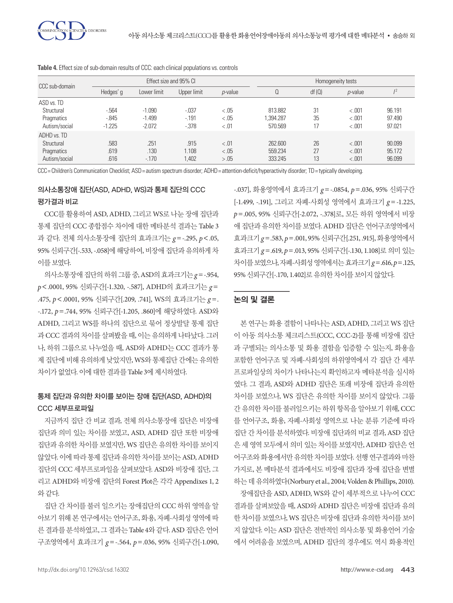| CCC sub-domain |           |             | Effect size and 95% CI |                 |          | Homogeneity tests |                 |        |  |  |  |  |
|----------------|-----------|-------------|------------------------|-----------------|----------|-------------------|-----------------|--------|--|--|--|--|
|                | Hedges' g | Lower limit | Upper limit            | <i>p</i> -value | Q        | df(0)             | <i>p</i> -value | 12     |  |  |  |  |
| ASD vs. TD     |           |             |                        |                 |          |                   |                 |        |  |  |  |  |
| Structural     | $-564$    | $-1.090$    | $-0.037$               | < .05           | 813.882  | 31                | < .001          | 96.191 |  |  |  |  |
| Pragmatics     | $-0.845$  | $-1.499$    | $-191$                 | < .05           | .394.287 | 35                | < .001          | 97.490 |  |  |  |  |
| Autism/social  | $-1.225$  | $-2.072$    | $-0.378$               | $-.01$          | 570.569  | 17                | < .001          | 97.021 |  |  |  |  |
| ADHD vs. TD    |           |             |                        |                 |          |                   |                 |        |  |  |  |  |
| Structural     | .583      | .251        | .915                   | $-.01$          | 262,600  | 26                | < .001          | 90.099 |  |  |  |  |
| Pragmatics     | .619      | .130        | 1.108                  | < .05           | 559.234  | 27                | < .001          | 95.172 |  |  |  |  |
| Autism/social  | .616      | $-170$      | 1.402                  | > .05           | 333.245  | 13                | < .001          | 96.099 |  |  |  |  |

**Table 4.** Effect size of sub-domain results of CCC: each clinical populations vs. controls

CCC= Children's Communication Checklist; ASD= autism spectrum disorder; ADHD= attention-deficit/hyperactivity disorder; TD= typically developing.

# 의사소통장애 집단(ASD, ADHD, WS)과 통제 집단의 CCC 평가결과 비교

CCC를 활용하여 ASD, ADHD, 그리고 WS로 나눈 장애 집단과 통제 집단의 CCC 종합점수 차이에 대한 메타분석 결과는 Table 3 과 같다. 전체 의사소통장애 집단의 효과크기는 *g* =-.295, *p*<.05, 95% 신뢰구간[-.533, -.058]에 해당하여, 비장애 집단과 유의하게 차 이를보였다.

의사소통장애집단의하위그룹중, ASD의효과크기는*g* =-.954, *p*<.0001, 95% 신뢰구간[-1.320, -.587], ADHD의 효과크기는 *g* = .475, *p*<.0001, 95% 신뢰구간[.209, .741], WS의 효과크기는 *g* =. -.172, *p*=.744, 95% 신뢰구간[-1.205, .860]에 해당하였다. ASD와 ADHD, 그리고 WS를 하나의 집단으로 묶어 정상발달 통제 집단 과 CCC 결과의 차이를 살펴봤을 때, 이는 유의하게 나타났다. 그러 나, 하위 그룹으로 나누었을 때, ASD와 ADHD는 CCC 결과가 통 제 집단에 비해 유의하게 낮았지만, WS와 통제집단 간에는 유의한 차이가 없었다. 이에 대한 결과를 Table 3에 제시하였다.

# 통제 집단과 유의한 차이를 보이는 장애 집단(ASD, ADHD)의 CCC 세부프로파일

지금까지 집단 간 비교 결과, 전체 의사소통장애 집단은 비장애 집단과 의미 있는 차이를 보였고, ASD, ADHD 집단 또한 비장애 집단과 유의한 차이를 보였지만, WS 집단은 유의한 차이를 보이지 않았다. 이에따라통제집단과유의한차이를보이는 ASD, ADHD 집단의 CCC 세부프로파일을 살펴보았다. ASD와 비장애 집단, 그 리고 ADHD와 비장애 집단의 Forest Plot은 각각 Appendixes 1, 2 와같다.

집단 간 차이를 불러 일으키는 장애집단의 CCC 하위 영역을 알 아보기 위해 본 연구에서는 언어구조, 화용, 자폐-사회성 영역에 따 른 결과를 분석하였고, 그 결과는 Table 4와 같다. ASD 집단은 언어 구조영역에서 효과크기 *g* =-.564, *p*=.036, 95% 신뢰구간[-1.090,

-.037], 화용영역에서 효과크기 *g* =-.0854, *p*=.036, 95% 신뢰구간 [-1.499, -.191], 그리고 자폐-사회성 영역에서 효과크기 *g* =-1.225, *p*=.005, 95% 신뢰구간[-2.072, -.378]로, 모든 하위 영역에서 비장 애 집단과 유의한 차이를 보였다. ADHD 집단은 언어구조영역에서 효과크기 *g* =.583, *p*=.001, 95% 신뢰구간[.251, .915], 화용영역에서 효과크기 *g* =.619, *p*=.013, 95% 신뢰구간[-.130, 1.108]로 의미 있는 차이를보였으나, 자폐-사회성영역에서는효과크기*g*=.616, *p*=.125, 95% 신뢰구간[-.170, 1.402]로유의한차이를보이지않았다.

## 논의 및 결론

본 연구는 화용 결함이 나타나는 ASD, ADHD, 그리고 WS 집단 이 아동 의사소통 체크리스트(CCC, CCC-2)를 통해 비장애 집단 과 구별되는 의사소통 및 화용 결함을 입증할 수 있는지, 화용을 포함한 언어구조 및 자폐-사회성의 하위영역에서 각 집단 간 세부 프로파일상의 차이가 나타나는지 확인하고자 메타분석을 실시하 였다. 그 결과, ASD와 ADHD 집단은 또래 비장애 집단과 유의한 차이를 보였으나, WS 집단은 유의한 차이를 보이지 않았다. 그룹 간 유의한 차이를 불러일으키는 하위 항목을 알아보기 위해, CCC 를 언어구조, 화용, 자폐-사회성 영역으로 나눈 분류 기준에 따라 집단 간 차이를 분석하였다. 비장애 집단과의 비교 결과, ASD 집단 은 세 영역 모두에서 의미 있는 차이를 보였지만, ADHD 집단은 언 어구조와 화용에서만 유의한 차이를 보였다. 선행 연구결과와 마찬 가지로, 본 메타분석 결과에서도 비장애 집단과 장애 집단을 변별 하는데유의하였다(Norbury et al., 2004; Volden & Phillips, 2010).

장애집단을 ASD, ADHD, WS와 같이 세부적으로 나누어 CCC 결과를 살펴보았을 때, ASD와 ADHD 집단은 비장애 집단과 유의 한 차이를 보였으나, WS 집단은 비장애 집단과 유의한 차이를 보이 지 않았다. 이는 ASD 집단은 전반적인 의사소통 및 화용언어 기술 에서 어려움을 보였으며, ADHD 집단의 경우에도 역시 화용적인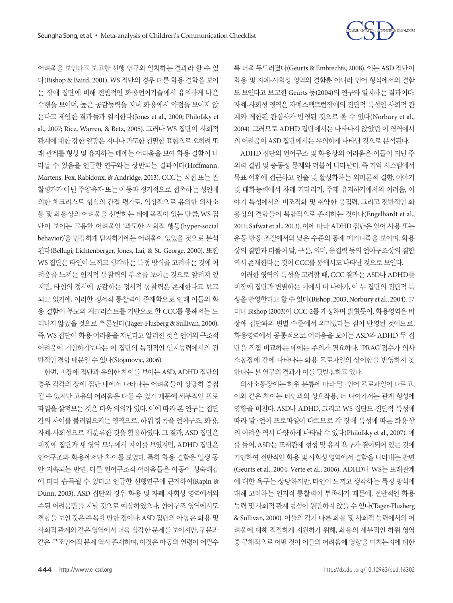

록 더욱 두드러졌다(Geurts & Embrechts, 2008). 이는 ASD 집단이 화용 및 자폐-사회성 영역의 결함뿐 아니라 언어 형식에서의 결함 도 보인다고 보고한 Geurts 등(2004)의 연구와 일치하는 결과이다. 자폐-사회성 영역은 자폐스펙트럼장애의 진단적 특성인 사회적 관 계와 제한된 관심사가 반영된 것으로 볼 수 있다(Norbury et al., 2004). 그러므로 ADHD 집단에서는 나타나지 않았던 이 영역에서 의 어려움이 ASD 집단에서는 유의하게 나타난 것으로 분석된다.

ADHD 집단의 언어구조 및 화용상의 어려움은 이들이 지닌 주 의력 결핍 및 충동성 문제와 더불어 나타난다. 즉 기억 시스템에서 목표 어휘에 접근하고 인출 및 활성화하는 의미론적 결함, 이야기 및 대화능력에서 차례 기다리기, 주제 유지하기에서의 어려움, 이 야기 특성에서의 비조직화 및 취약한 응집력, 그리고 전반적인 화 용상의 결함들이 복합적으로 존재하는 것이다(Engelhardt et al., 2011; Safwat et al., 2013). 이에 따라 ADHD 집단은 언어 사용 또는 운동 반응 조절에서의 낮은 수준의 통제 메커니즘을 보이며, 화용 상의 결함과 더불어 말, 구문, 의미, 응집력 등의 언어구조상의 결함 역시존재한다는것이 CCC를통해서도나타난것으로보인다.

이러한 영역의 특성을 고려할 때, CCC 결과는 ASD나 ADHD를 비장애 집단과 변별하는 데에서 더 나아가, 이 두 집단의 진단적 특 성을 반영한다고 할 수 있다(Bishop, 2003; Norbury et al., 2004). 그 러나 Bishop (2003)이 CCC-2를 개정하며 밝혔듯이, 화용영역은 비 장애 집단과의 변별 수준에서 의미있다는 점이 반영된 것이므로, 화용영역에서 공통적으로 어려움을 보이는 ASD와 ADHD 두 집 단을 직접 비교하는 데에는 주의가 필요하다. 'PRAG'점수가 의사 소통장애 간에 나타나는 화용 프로파일의 상이함을 반영하지 못 한다는 본 연구의 결과가 이를 뒷받침하고 있다.

의사소통장애는 하위 분류에 따라 말·언어 프로파일이 다르고, 이와 같은 차이는 타인과의 상호작용, 더 나아가서는 관계 형성에 영향을 미친다. ASD나 ADHD, 그리고 WS 집단도 진단적 특성에 따라 말·언어 프로파일이 다르므로 각 장애 특성에 따른 화용상 의 어려움 역시 다양하게 나타날 수 있다(Philofsky et al., 2007). 예 를 들어, ASD는 또래관계 형성 및 유지 욕구가 결여되어 있는 것에 기인하여 전반적인 화용 및 사회성 영역에서 결함을 나타내는 반면 (Geurts et al., 2004; Verté et al., 2006), ADHD나 WS는 또래관계 에 대한 욕구는 상당하지만, 타인이 느끼고 생각하는 특정 방식에 대해 고려하는 인지적 통찰력이 부족하기 때문에, 전반적인 화용 능력 및 사회적 관계 형성이 원만하지 않을 수 있다(Tager-Flusberg & Sullivan, 2000). 이들의 각기 다른 화용 및 사회적 능력에서의 어 려움에 대해 적절하게 지원하기 위해, 화용의 세부적인 하위 영역 중 구체적으로 어떤 것이 이들의 어려움에 영향을 미치는지에 대한

어려움을 보인다고 보고한 선행 연구와 일치하는 결과라 할 수 있 다(Bishop & Baird, 2001). WS 집단의 경우 다른 화용 결함을 보이 는 장애 집단에 비해 전반적인 화용언어기술에서 유의하게 나은 수행을 보이며, 높은 공감능력을 지녀 화용에서 약점을 보이지 않 는다고 제안한 결과들과 일치한다(Jones et al., 2000; Philofsky et al., 2007; Rice, Warren, & Betz, 2005). 그러나 WS 집단이 사회적 관계에 대한 강한 열망은 지니나 과도한 친밀함 표현으로 오히려 또 래 관계를 형성 및 유지하는 데에는 어려움을 보여 화용 결함이 나 타날 수 있음을 언급한 연구와는 상반되는 결과이다(Hoffmann, Martens, Fox, Rabidoux, & Andridge, 2013). CCC는 직접 또는 관 찰평가가 아닌 주양육자 또는 아동과 정기적으로 접촉하는 성인에 의한 체크리스트 형식의 간접 평가로, 임상적으로 유의한 의사소 통 및 화용상의 어려움을 선별하는 데에 목적이 있는 만큼, WS 집 단이 보이는 고유한 어려움인 '과도한 사회적 행동(hyper-social behavior)'을 민감하게 탐지하기에는 어려움이 있었을 것으로 분석 된다(Bellugi, Lichtenberger, Jones, Lai, & St. George, 2000). 또한 WS 집단은 타인이 느끼고 생각하는 특정 방식을 고려하는 것에 어 려움을 느끼는 인지적 통찰력의 부족을 보이는 것으로 알려져 있 지만, 타인의 정서에 공감하는 정서적 통찰력은 존재한다고 보고 되고 있기에, 이러한 정서적 통찰력이 존재함으로 인해 이들의 화 용 결함이 부모의 체크리스트를 기반으로 한 CCC를 통해서는 드 러나지 않았을 것으로 추론된다(Tager-Flusberg & Sullivan, 2000). 즉, WS 집단이화용어려움을지닌다고알려진것은언어의구조적 어려움에 기인하기보다는 이 집단의 특징적인 인지능력에서의 전 반적인결함때문일수있다(Stojanovic, 2006).

한편, 비장애 집단과 유의한 차이를 보이는 ASD, ADHD 집단의 경우 각각의 장애 집단 내에서 나타나는 어려움들이 상당히 중첩 될 수 있지만 고유의 어려움은 다를 수 있기 때문에 세부적인 프로 파일을 살펴보는 것은 더욱 의의가 있다. 이에 따라 본 연구는 집단 간의 차이를 불러일으키는 영역으로, 하위 항목을 언어구조, 화용, 자폐-사회성으로 재분류한 것을 활용하였다. 그 결과, ASD 집단은 비장애 집단과 세 영역 모두에서 차이를 보였지만, ADHD 집단은 언어구조와 화용에서만 차이를 보였다. 특히 화용 결함은 일생 동 안 지속되는 반면, 다른 언어구조적 어려움들은 아동이 성숙해감 에 따라 습득될 수 있다고 언급한 선행연구에 근거하여(Rapin & Dunn, 2003), ASD 집단의 경우 화용 및 자폐-사회성 영역에서의 주된 어려움만을 지닐 것으로 예상하였으나, 언어구조 영역에서도 결함을보인 것은주목할 만한점이다. ASD 집단의 아동은 화용및 사회적 관계와 같은 영역에서 더욱 심각한 문제를 보이지만, 구문과 같은 구조언어적 문제 역시 존재하며, 이것은 아동의 연령이 어릴수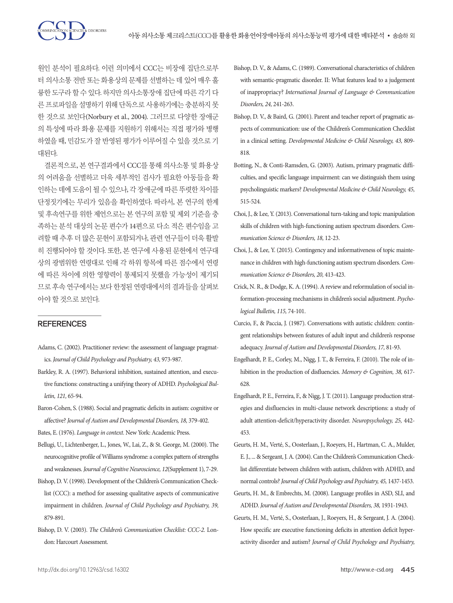원인 분석이 필요하다. 이런 의미에서 CCC는 비장애 집단으로부 터 의사소통 전반 또는 화용상의 문제를 선별하는 데 있어 매우 훌 륭한 도구라 할 수 있다. 하지만 의사소통장애 집단에 따른 각기 다 른 프로파일을 설명하기 위해 단독으로 사용하기에는 충분하지 못 한 것으로 보인다(Norbury et al., 2004). 그러므로 다양한 장애군 의 특성에 따라 화용 문제를 지원하기 위해서는 직접 평가와 병행 하였을 때, 민감도가 잘 반영된 평가가 이루어질 수 있을 것으로 기 대된다.

**N**<br>Ex DISORDERS

결론적으로, 본 연구결과에서 CCC를 통해 의사소통 및 화용상 의 어려움을 선별하고 더욱 세부적인 검사가 필요한 아동들을 확 인하는 데에 도움이 될 수 있으나, 각 장애군에 따른 뚜렷한 차이를 단정짓기에는 무리가 있음을 확인하였다. 따라서, 본 연구의 한계 및 후속연구를 위한 제언으로는 본 연구의 포함 및 제외 기준을 충 족하는 분석 대상의 논문 편수가 14편으로 다소 적은 편수임을 고 려할 때 추후 더 많은 문헌이 포함되거나, 관련 연구들이 더욱 활발 히 진행되어야 할 것이다. 또한, 본 연구에 사용된 문헌에서 연구대 상의 광범위한 연령대로 인해 각 하위 항목에 따른 점수에서 연령 에 따른 차이에 의한 영향력이 통제되지 못했을 가능성이 제기되 므로 후속 연구에서는 보다 한정된 연령대에서의 결과들을 살펴보 아야할것으로보인다.

#### **REFERENCES**

- Adams, C. (2002). Practitioner review: the assessment of language pragmatics. *Journal of Child Psychology and Psychiatry, 43,* 973-987.
- Barkley, R. A. (1997). Behavioral inhibition, sustained attention, and executive functions: constructing a unifying theory of ADHD. *Psychological Bulletin, 121,* 65-94.
- Baron-Cohen, S. (1988). Social and pragmatic deficits in autism: cognitive or affective? *Journal of Autism and Developmental Disorders, 18,* 379-402.
- Bates, E. (1976). *Language in context.* New York: Academic Press.
- Bellugi, U., Lichtenberger, L., Jones, W., Lai, Z., & St. George, M. (2000). The neurocognitive profile of Williams syndrome: a complex pattern of strengths and weaknesses. *Journal of Cognitive Neuroscience, 12*(Supplement 1), 7-29.
- Bishop, D. V. (1998). Development of the Children's Communication Checklist (CCC): a method for assessing qualitative aspects of communicative impairment in children. *Journal of Child Psychology and Psychiatry, 39,*  879-891.
- Bishop, D. V. (2003). *The Children's Communication Checklist: CCC-2.* London: Harcourt Assessment.
- Bishop, D. V., & Adams, C. (1989). Conversational characteristics of children with semantic-pragmatic disorder. II: What features lead to a judgement of inappropriacy? *International Journal of Language & Communication Disorders, 24,* 241-263.
- Bishop, D. V., & Baird, G. (2001). Parent and teacher report of pragmatic aspects of communication: use of the Children's Communication Checklist in a clinical setting. *Developmental Medicine & Child Neurology, 43,* 809- 818.
- Botting, N., & Conti‐Ramsden, G. (2003). Autism, primary pragmatic difficulties, and specific language impairment: can we distinguish them using psycholinguistic markers? *Developmental Medicine & Child Neurology, 45,* 515-524.
- Choi, J., & Lee, Y. (2013). Conversational turn-taking and topic manipulation skills of children with high-functioning autism spectrum disorders. *Communication Science & Disorders, 18,* 12-23.
- Choi, J., & Lee, Y. (2015). Contingency and informativeness of topic maintenance in children with high-functioning autism spectrum disorders. *Communication Science & Disorders, 20,* 413-423.
- Crick, N. R., & Dodge, K. A. (1994). A review and reformulation of social information-processing mechanisms in children's social adjustment. *Psychological Bulletin, 115,* 74-101.
- Curcio, F., & Paccia, J. (1987). Conversations with autistic children: contingent relationships between features of adult input and children's response adequacy. *Journal of Autism and Developmental Disorders, 17,* 81-93.
- Engelhardt, P. E., Corley, M., Nigg, J. T., & Ferreira, F. (2010). The role of inhibition in the production of disfluencies. *Memory & Cognition, 38,* 617- 628.
- Engelhardt, P. E., Ferreira, F., & Nigg, J. T. (2011). Language production strategies and disfluencies in multi-clause network descriptions: a study of adult attention-deficit/hyperactivity disorder. *Neuropsychology, 25,* 442- 453.
- Geurts, H. M., Verté, S., Oosterlaan, J., Roeyers, H., Hartman, C. A., Mulder, E. J., ... & Sergeant, J. A. (2004). Can the Children's Communication Checklist differentiate between children with autism, children with ADHD, and normal controls? *Journal of Child Psychology and Psychiatry, 45,* 1437-1453.
- Geurts, H. M., & Embrechts, M. (2008). Language profiles in ASD, SLI, and ADHD. *Journal of Autism and Developmental Disorders, 38,* 1931-1943.
- Geurts, H. M., Verté, S., Oosterlaan, J., Roeyers, H., & Sergeant, J. A. (2004). How specific are executive functioning deficits in attention deficit hyperactivity disorder and autism? *Journal of Child Psychology and Psychiatry,*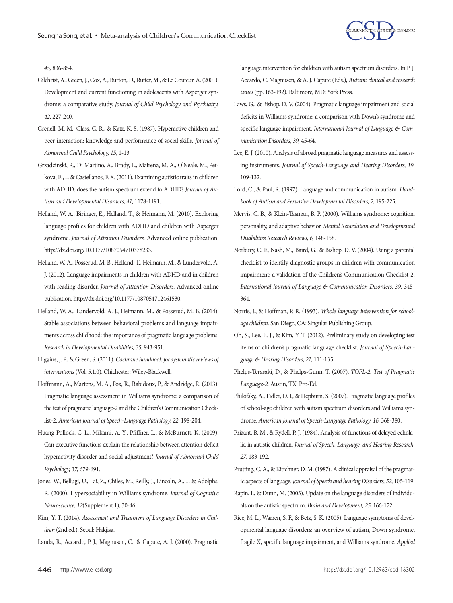

*45,* 836-854.

- Gilchrist, A., Green, J., Cox, A., Burton, D., Rutter, M., & Le Couteur, A. (2001). Development and current functioning in adolescents with Asperger syndrome: a comparative study. *Journal of Child Psychology and Psychiatry, 42,* 227-240.
- Grenell, M. M., Glass, C. R., & Katz, K. S. (1987). Hyperactive children and peer interaction: knowledge and performance of social skills. *Journal of Abnormal Child Psychology, 15,* 1-13.
- Grzadzinski, R., Di Martino, A., Brady, E., Mairena, M. A., O'Neale, M., Petkova, E., ... & Castellanos, F. X. (2011). Examining autistic traits in children with ADHD: does the autism spectrum extend to ADHD? *Journal of Autism and Developmental Disorders, 41,* 1178-1191.
- Helland, W. A., Biringer, E., Helland, T., & Heimann, M. (2010). Exploring language profiles for children with ADHD and children with Asperger syndrome. *Journal of Attention Disorders.* Advanced online publication. http://dx.doi.org/10.1177/1087054710378233.
- Helland, W. A., Posserud, M. B., Helland, T., Heimann, M., & Lundervold, A. J. (2012). Language impairments in children with ADHD and in children with reading disorder. *Journal of Attention Disorders.* Advanced online publication. http://dx.doi.org/10.1177/1087054712461530.
- Helland, W. A., Lundervold, A. J., Heimann, M., & Posserud, M. B. (2014). Stable associations between behavioral problems and language impairments across childhood: the importance of pragmatic language problems. *Research in Developmental Disabilities, 35,* 943-951.
- Higgins, J. P., & Green, S. (2011). *Cochrane handbook for systematic reviews of interventions* (Vol. 5.1.0). Chichester: Wiley-Blackwell.
- Hoffmann, A., Martens, M. A., Fox, R., Rabidoux, P., & Andridge, R. (2013). Pragmatic language assessment in Williams syndrome: a comparison of the test of pragmatic language-2 and the Children's Communication Checklist-2. *American Journal of Speech-Language Pathology, 22,* 198-204.
- Huang-Pollock, C. L., Mikami, A. Y., Pfiffner, L., & McBurnett, K. (2009). Can executive functions explain the relationship between attention deficit hyperactivity disorder and social adjustment? *Journal of Abnormal Child Psychology, 37,* 679-691.
- Jones, W., Bellugi, U., Lai, Z., Chiles, M., Reilly, J., Lincoln, A., ... & Adolphs, R. (2000). Hypersociability in Williams syndrome. *Journal of Cognitive Neuroscience, 12*(Supplement 1), 30-46.
- Kim, Y. T. (2014). *Assessment and Treatment of Language Disorders in Children* (2nd ed.). Seoul: Hakjisa.
- Landa, R., Accardo, P. J., Magnusen, C., & Capute, A. J. (2000). Pragmatic

language intervention for children with autism spectrum disorders. In P. J. Accardo, C. Magnusen, & A. J. Capute (Eds.), *Autism: clinical and research issues* (pp. 163-192). Baltimore, MD: York Press.

- Laws, G., & Bishop, D. V. (2004). Pragmatic language impairment and social deficits in Williams syndrome: a comparison with Down's syndrome and specific language impairment. *International Journal of Language & Communication Disorders, 39,* 45-64.
- Lee, E. J. (2010). Analysis of abroad pragmatic language measures and assessing instruments. *Journal of Speech-Language and Hearing Disorders, 19,* 109-132.
- Lord, C., & Paul, R. (1997). Language and communication in autism. *Handbook of Autism and Pervasive Developmental Disorders, 2,* 195-225.
- Mervis, C. B., & Klein-Tasman, B. P. (2000). Williams syndrome: cognition, personality, and adaptive behavior. *Mental Retardation and Developmental Disabilities Research Reviews, 6,* 148-158.
- Norbury, C. F., Nash, M., Baird, G., & Bishop, D. V. (2004). Using a parental checklist to identify diagnostic groups in children with communication impairment: a validation of the Children's Communication Checklist-2. *International Journal of Language & Communication Disorders, 39,* 345- 364.
- Norris, J., & Hoffman, P. R. (1993). *Whole language intervention for schoolage children.* San Diego, CA: Singular Publishing Group.
- Oh, S., Lee, E. J., & Kim, Y. T. (2012). Preliminary study on developing test items of children's pragmatic language checklist. *Journal of Speech-Language & Hearing Disorders, 21,* 111-135.
- Phelps-Terasaki, D., & Phelps-Gunn, T. (2007). *TOPL-2: Test of Pragmatic Language-2.* Austin, TX: Pro-Ed.
- Philofsky, A., Fidler, D. J., & Hepburn, S. (2007). Pragmatic language profiles of school-age children with autism spectrum disorders and Williams syndrome. *American Journal of Speech-Language Pathology, 16,* 368-380.
- Prizant, B. M., & Rydell, P. J. (1984). Analysis of functions of delayed echolalia in autistic children. *Journal of Speech, Language, and Hearing Research, 27,* 183-192.
- Prutting, C. A., & Kittchner, D. M. (1987). A clinical appraisal of the pragmatic aspects of language. *Journal of Speech and hearing Disorders, 52,* 105-119.
- Rapin, I., & Dunn, M. (2003). Update on the language disorders of individuals on the autistic spectrum. *Brain and Development, 25,* 166-172.
- Rice, M. L., Warren, S. F., & Betz, S. K. (2005). Language symptoms of developmental language disorders: an overview of autism, Down syndrome, fragile X, specific language impairment, and Williams syndrome. *Applied*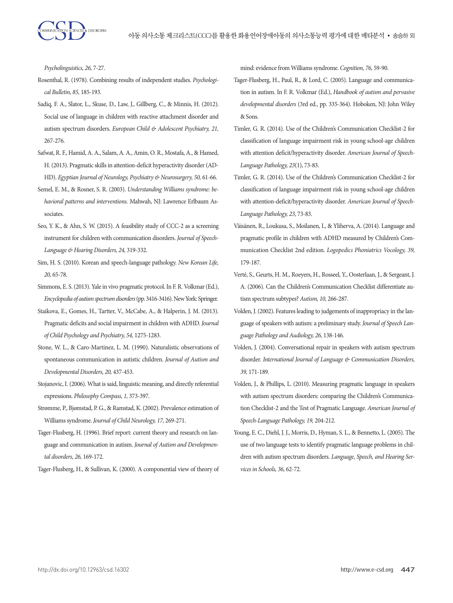*Psycholinguistics, 26,* 7-27.

- Rosenthal, R. (1978). Combining results of independent studies. *Psychological Bulletin, 85,* 185-193.
- Sadiq, F. A., Slator, L., Skuse, D., Law, J., Gillberg, C., & Minnis, H. (2012). Social use of language in children with reactive attachment disorder and autism spectrum disorders. *European Child & Adolescent Psychiatry, 21,*  267-276.
- Safwat, R. F., Hamid, A. A., Salam, A. A., Amin, O. R., Mostafa, A., & Hamed, H. (2013). Pragmatic skills in attention-deficit hyperactivity disorder (AD-HD). *Egyptian Journal of Neurology, Psychiatry & Neurosurgery, 50,* 61-66.
- Semel, E. M., & Rosner, S. R. (2003). *Understanding Williams syndrome: behavioral patterns and interventions.* Mahwah, NJ: Lawrence Erlbaum Associates.
- Seo, Y. K., & Ahn, S. W. (2015). A feasibility study of CCC-2 as a screening instrument for children with communication disorders. *Journal of Speech-Language & Hearing Disorders, 24,* 319-332.
- Sim, H. S. (2010). Korean and speech-language pathology. *New Korean Life, 20,* 65-78.
- Simmons, E. S. (2013). Yale in vivo pragmatic protocol. In F. R. Volkmar (Ed.), *Encyclopedia of autism spectrum disorders* (pp. 3416-3416). New York: Springer.
- Staikova, E., Gomes, H., Tartter, V., McCabe, A., & Halperin, J. M. (2013). Pragmatic deficits and social impairment in children with ADHD. *Journal of Child Psychology and Psychiatry, 54,* 1275-1283.
- Stone, W. L., & Caro-Martinez, L. M. (1990). Naturalistic observations of spontaneous communication in autistic children. *Journal of Autism and Developmental Disorders, 20,* 437-453.
- Stojanovic, I. (2006). What is said, linguistic meaning, and directly referential expressions. *Philosophy Compass, 1,* 373-397.
- Strømme, P., Bjømstad, P. G., & Ramstad, K. (2002). Prevalence estimation of Williams syndrome. *Journal of Child Neurology, 17,* 269-271.
- Tager-Flusberg, H. (1996). Brief report: current theory and research on language and communication in autism. *Journal of Autism and Developmental disorders, 26,* 169-172.

Tager-Flusberg, H., & Sullivan, K. (2000). A componential view of theory of

mind: evidence from Williams syndrome. *Cognition, 76,* 59-90.

- Tager-Flusberg, H., Paul, R., & Lord, C. (2005). Language and communication in autism. In F. R. Volkmar (Ed.), *Handbook of autism and pervasive developmental disorders* (3rd ed., pp. 335-364). Hoboken, NJ: John Wiley & Sons.
- Timler, G. R. (2014). Use of the Children's Communication Checklist-2 for classification of language impairment risk in young school-age children with attention deficit/hyperactivity disorder. *American Journal of Speech-Language Pathology, 23*(1), 73-83.
- Timler, G. R. (2014). Use of the Children's Communication Checklist-2 for classification of language impairment risk in young school-age children with attention-deficit/hyperactivity disorder. *American Journal of Speech-Language Pathology, 23,* 73-83.
- Väisänen, R., Loukusa, S., Moilanen, I., & Yliherva, A. (2014). Language and pragmatic profile in children with ADHD measured by Children's Communication Checklist 2nd edition. *Logopedics Phoniatrics Vocology, 39,*  179-187.
- Verté, S., Geurts, H. M., Roeyers, H., Rosseel, Y., Oosterlaan, J., & Sergeant, J. A. (2006). Can the Children's Communication Checklist differentiate autism spectrum subtypes? *Autism, 10,* 266-287.
- Volden, J. (2002). Features leading to judgements of inappropriacy in the language of speakers with autism: a preliminary study. *Journal of Speech Language Pathology and Audiology, 26,* 138-146.
- Volden, J. (2004). Conversational repair in speakers with autism spectrum disorder. *International Journal of Language & Communication Disorders, 39,* 171-189.
- Volden, J., & Phillips, L. (2010). Measuring pragmatic language in speakers with autism spectrum disorders: comparing the Children's Communication Checklist-2 and the Test of Pragmatic Language. *American Journal of Speech-Language Pathology, 19,* 204-212.
- Young, E. C., Diehl, J. J., Morris, D., Hyman, S. L., & Bennetto, L. (2005). The use of two language tests to identify pragmatic language problems in children with autism spectrum disorders. *Language, Speech, and Hearing Services in Schools, 36,* 62-72.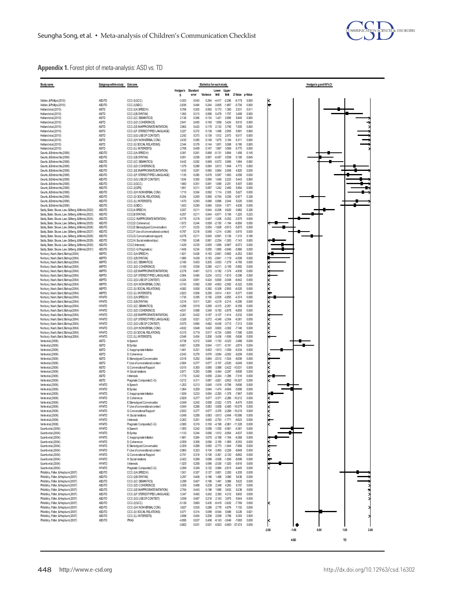

# **Appendix 1.** Forest plot of meta-analysis: ASD vs. TD

| Study name                                                                                                  | Subgroup within study Outcome  |                                                                       |                        |                | Statistics for each study |                                     |                            |                       |                | Hedges's g and 95%CI                       |
|-------------------------------------------------------------------------------------------------------------|--------------------------------|-----------------------------------------------------------------------|------------------------|----------------|---------------------------|-------------------------------------|----------------------------|-----------------------|----------------|--------------------------------------------|
|                                                                                                             |                                |                                                                       | Hedges's Standard<br>g | error          | Variance                  | Lower Upper<br>limit                | limit                      | Z-Value               | p-Value        |                                            |
| Volden, & Phillips (2010)                                                                                   | ASD/TD                         | CCC-2(GCC)                                                            | $-3.353$               | 0.543          | 0.294                     | $-4.417$                            | $-2.290$                   | $-6.179$              | 0.000          |                                            |
| Volden, & Phillips (2010)<br>Helland etal.(2010)                                                            | ASD/TD<br><b>AS/TD</b>         | CCC-2(SIDC)<br>CCC-2(A:SPEECH)                                        | $-2.836$<br>0.766      | 0.494<br>0.303 | 0.244<br>0.092            | $-3.805$<br>0.173                   | $-1.867$<br>1.360          | $-5.736$<br>2.531     | 0.000<br>0.011 |                                            |
| Helland etal.(2010)                                                                                         | <b>AS/TD</b>                   | CCC-2(B:SYNTAX)                                                       | 1,093                  | 0.313          | 0.098                     | 0.479                               | 1.707                      | 3.489                 | 0.000          |                                            |
| Helland et al.(2010)<br>Helland et al.(2010)                                                                | <b>AS/TD</b><br><b>AS/TD</b>   | CCC-2(C:SEMANTICS)<br>CCC-2(D:COHERENCE)                              | 2138<br>2641           | 0.366<br>0.400 | 0.134<br>0.160            | 1421<br>1.858                       | 2856<br>3.424              | 5840<br>6.610         | 0.000<br>0.000 |                                            |
| Helland etal.(2010)                                                                                         | <b>AS/TD</b>                   | CCC-2(E: INAPPRORIATE INITIATION)                                     | 2.962                  | 0.423          | 0.179                     | 2.133                               | 3.790                      | 7.005                 | 0.000          |                                            |
| Helland et al.(2010)                                                                                        | <b>AS/TD</b>                   | CCC-2(F: STEREOTYPED LANGUAGE)                                        | 2227                   | 0.372          | 0.138                     | 1,498                               | 2.955                      | 5.991                 | 0.000          |                                            |
| Helland etal.(2010)<br>Helland etal.(2010)                                                                  | <b>AS/TD</b><br><b>AS/TD</b>   | CCC-2(G:USEOF CONTEXT)<br>CCC-2(H:NONVERBAL COM)                      | 2242<br>2.430          | 0.373<br>0.385 | 0.139<br>0.148            | 1.512<br>1.675                      | 2.973<br>3.184             | 6.017<br>6,311        | 0.000<br>0.000 |                                            |
| Helland etal.(2010)                                                                                         | <b>AS/TD</b>                   | CCC-2(I:SOCIAL RELATIONS)                                             | 2344                   | 0.379          | 0.144                     | 1.601                               | 3.088                      | 6.180                 | 0.000          |                                            |
| Helland etal.(2010)<br>Geurts.&Embrechts(2008)                                                              | <b>AS/TD</b><br>ASD/TD         | CCC-2(J:NTERESTS)<br>CCC-2(A:SPEECH)                                  | 2.768<br>0.381         | 0.409<br>0.261 | 0.167<br>0.068            | 1.967<br>$-0.131$                   | 3.569<br>0.894             | 6.775<br>1.458        | 0.000<br>0.145 |                                            |
| Geurts, & Embrechts (2008)                                                                                  | ASD/TD                         | CCC-2(B:SYNTAX)                                                       | 0.051                  | 0.259          | 0.067                     | $-0.457$                            | 0.558                      | 0.195                 | 0.845          |                                            |
| Geurts, & Embrechts (2008)<br>Geurts, & Embrechts (2008)                                                    | ASD/TD<br>ASD/TD               | CCC-2(C:SEMANTICS)<br>CCC-2(D:COHERENCE)                              | 0.442<br>1,379         | 0.262<br>0.289 | 0.069<br>0.084            | $-0.072$<br>0.813                   | 0.956<br>1.946             | 1.684<br>4.773        | 0.092<br>0.000 |                                            |
| Geurts, & Embrechts (2008)                                                                                  | ASD/TD                         | CCC-2(E: NAPPRORIATE INITIATION)                                      | 1435                   | 0.291          | 0.085                     | 0.864                               | 2.006                      | 4925                  | 0.000          |                                            |
| Geurts.&Embrechts(2008)<br>Geurts, & Embrechts (2008)                                                       | ASD/TD<br>ASD/TD               | CCC-2(F:STEREOTYPED LANGUAGE)<br>CCC-2(G:USEOF CONTEXT)               | 1.135<br>1.634         | 0280<br>0.300  | 0.078<br>0.090            | 0.587<br>1.046                      | 1.683<br>2.223             | 4058<br>5.443         | 0.000<br>0.000 |                                            |
| Geurts, & Embrechts (2008)                                                                                  | ASD/TD                         | CCC-2(GCC)                                                            | 1,660                  | 0.301          | 0.091                     | 1.069                               | 2.251                      | 5.507                 | 0.000          |                                            |
| Geurts, & Embrechts (2008)                                                                                  | ASD/TD                         | CCC-2(GPS)                                                            | 1.851                  | 0.311          | 0.097                     | 1,242                               | 2.460                      | 5.954                 | 0.000          |                                            |
| Geurts. & Embrechts (2008)<br>Geurts. & Embrechts (2008)                                                    | ASD/TD<br>ASD/TD               | CCC-2(H:NONVERBAL COM)<br>CCC-2(I:SOCIAL RELATIONS)                   | 1.710<br>$-0.254$      | 0.304<br>0260  | 0.092<br>0.068            | 1.114<br>$-0.764$                   | 2.305<br>0.256             | 5.627<br>$-0.977$     | 0.000<br>0.328 |                                            |
| Geurts, & Embrechts (2008)                                                                                  | ASD/TD                         | CCC-2(J:INTERESTS)                                                    | 1,470                  | 0293           | 0.086                     | 0.896                               | 2.044                      | 5.020                 | 0.000          |                                            |
| Geurts, & Embrechts (2008)<br>Sadiq, Slator, Skuse, Law, Gilberg, & Minnis (2022)                           | ASD/TD<br>ASD/TD               | CCC-2(SIDC)<br>CCC(A:SPEECH)                                          | 1.403<br>0.207         | 0290<br>0211   | 0.084<br>0.044            | 0.834<br>$-0.206$                   | 1.971<br>0.620             | 4.838<br>0.982        | 0.000<br>0.326 |                                            |
| Sadiq, Slator, Skuse, Law, Gilberg, & Minnis (2023)                                                         | ASD/TD                         | CCC(B:SYNTAX)                                                         | $-0.257$               | 0211           | 0.044                     | $-0.671$                            | 0.156                      | $-1220$               | 0.223          |                                            |
| Sadiq, Slator, Skuse, Law, Gilberg, & Minnis (2024)<br>Sadiq, Slator, Skuse, Law, Gilberg, & Minnis (2025)  | ASD/TD<br>ASD/TD               | CCC(C: INAPPRORIATE INITIATION)<br>CCC(D:Coherence)                   | $-0.779$<br>$-1.672$   | 0218<br>0244   | 0.047<br>0.059            | $-1.206$<br>$-2.150$                | $-0.352$<br>$-1.194$       | $-3.575$<br>$-6.856$  | 0.000<br>0.000 |                                            |
| Sadiq, Slator, Skuse, Law, Gilberg, & Minnis (2026)                                                         | ASD/TD                         | CCC(E Stereoptyped Conversation)                                      | $-1.371$               | 0233           | 0.054                     | $-1828$                             | $-0.913$                   | $-5875$               | 0.000          |                                            |
| Sadiq, Slator, Skuse, Law, Gilberg, & Minnis (2027)<br>Sadio, Slator, Skuse, Law, Gillbero, & Minnis (2028) | ASD/TD                         | CCC(F:Use of conversational context)<br>CCC(G:Conversational rapport) | $-0.787$               | 0218           | 0.048                     | $-1214$                             | $-0.360$                   | $-3.610$              | 0.000<br>0.188 |                                            |
| Sadiq, Slator, Skuse, Law, Gilberg, & Minnis (2029)                                                         | ASD/TD<br>ASD/TD               | CCC(H:Social relationships)                                           | $-0.278$<br>$-1.769$   | 0211<br>0.248  | 0.045<br>0.061            | $-0.691$<br>$-2.254$                | 0.136<br>$-1.283$          | $-1.315$<br>$-7.143$  | 0.000          |                                            |
| Sadiq, Slator, Skuse, Law, Gilberg, & Minnis (2030)                                                         | ASD/TD                         | CCC(Linterests)                                                       | $-1.429$               | 0235           | 0.055                     | $-1.890$                            | $-0.967$                   | $-6.073$              | 0.000          |                                            |
| Sadiq, Slator, Skuse, Law, Gilberg, & Minnis (2031)<br>Norbury, Nash, Baird, Bishop(2004)                   | ASD/TD<br><b>ASP/TD</b>        | CCC(C-G:Pragmatics)<br>CCC-2(A:SPEECH)                                | $-1.406$<br>$-1.821$   | 0234<br>0.428  | 0.055<br>0.183            | $-1.865$<br>$-2.661$                | $-0.946$<br>$-0.982$       | $-5.996$<br>$-4252$   | 0.000<br>0.000 |                                            |
| Norbury, Nash, Baird, Bishop(2004)                                                                          | <b>ASP/TD</b>                  | CCC-2(B:SYNTAX)                                                       | $-1.980$               | 0.439          | 0.193                     |                                     | $-2.841 - 1.119$           | $-4.509$              | 0.000          |                                            |
| Norbury, Nash, Baird, Bishop(2004)<br>Norbury, Nash, Baird, Bishop(2004)                                    | <b>ASP/TD</b><br><b>ASP/TD</b> | CCC-2(C:SEMANTICS)<br>CCC-2(D:COHERENCE)                              | $-2.166$<br>$-3.160$   | 0.453<br>0.536 | 0.205<br>0.288            | $-3.053$<br>$-4211$                 | $-1.279$<br>$-2.109$       | $-4.785$<br>$-5.892$  | 0.000<br>0.000 |                                            |
| Norbury, Nash, Baird, Bishop(2004)                                                                          | <b>ASP/TD</b>                  | CCC-2(E: INAPPRORIATE INITIATION)                                     | $-2278$                | 0.461          | 0213                      | $-3.182 - 1.374$                    |                            | $-4.939$              | 0.000          |                                            |
| Norbury, Nash, Baird, Bishop(2004)                                                                          | <b>ASP/TD</b>                  | CCC-2(F:STEREOTYPED LANGUAGE)                                         | $-2.564$               | 0.484          | 0.234                     | $-3.512$                            | $-1.615$                   | $-5.296$              | 0.000          |                                            |
| Norbury, Nash, Baird, Bishop(2004)<br>Norbury, Nash, Baird, Bishop(2004)                                    | <b>ASP/TD</b><br><b>ASP/TD</b> | CCC-2(G:USE OF CONTEXT)<br>CCC-2(H:NONVERBALCOM)                      | $-4.324$<br>$-3.743$   | 0651<br>0.592  | 0424<br>0.350             | $-5600 - 3048$<br>$-4.903$          | $-2.582$                   | $-6642$<br>$-6322$    | 0.000<br>0.000 |                                            |
| Norbury, Nash, Baird, Bishop(2004)                                                                          | <b>ASP/TD</b>                  | CCC-2(I:SOCIAL RELATIONS)                                             | $-4.082$               | 0.626          | 0.392                     | $-5.309$                            | $-2.855$                   | $-6.520$              | 0.000          |                                            |
| Norbury, Nash, Baird, Bishop(2004)<br>Norbury, Nash, Baird, Bishop(2004)                                    | <b>ASP/TD</b><br><b>HFATD</b>  | CCC-2(J: INTERESTS)<br>CCC-2(A:SPEECH)                                | $-2.823$<br>$-1.730$   | 0.506<br>0.395 | 0.256<br>0.156            | $-3.814$<br>$-2.505$                | $-1.831$<br>$-0.955$       | $-5.577$<br>$-4.374$  | 0.000<br>0.000 |                                            |
| Norbury, Nash, Baird, Bishop(2004)                                                                          | <b>HFATD</b>                   | CCC-2(B:SYNTAX)                                                       | $-3216$                | 0.511          | 0261                      | $-4.219$                            | $-2.214$                   | $-6.290$              | 0.000          |                                            |
| Norbury, Nash, Baird, Bishop(2004)                                                                          | <b>HFATD</b><br><b>HFATD</b>   | CCC-2(C:SEMANTICS)<br>CCC-2(D:COHERENCE)                              | $-3298$<br>$-4.031$    | 0.519<br>0.588 | 0269<br>0346              | $-4.315$<br>$-5.183$                | $-2.281$<br>$-2.878$       | $-6.358$<br>$-6.855$  | 0.000<br>0.000 |                                            |
| Norbury, Nash, Baird, Bishop(2004)<br>Norbury, Nash, Baird, Bishop(2004)                                    | <b>HFATD</b>                   | CCC-2(E: INAPPRORIATE INITIATION)                                     | $-2.261$               | 0.432          | 0.187                     | $-3.107$                            | $-1.414$                   | $-5.232$              | 0.000          |                                            |
| Norbury, Nash, Baird, Bishop(2004)                                                                          | <b>HFATD</b>                   | CCC-2(F:STEREOTYPED LANGUAGE)                                         | $-3.326$               | 0.521          | 0.272                     | $-4.348$                            | $-2.304$                   | $-6.381$              | 0.000          |                                            |
| Norbury, Nash, Baird, Bishop(2004)<br>Norbury, Nash, Baird, Bishop(2004)                                    | <b>HFATD</b><br><b>HFATD</b>   | CCC-2(G:USE OF CONTEXT)<br>CCC-2(H:NONVERBALCOM)                      | $-5.075$<br>$-4.632$   | 0.694<br>0.648 | 0.482<br>0.420            | $-6.436$<br>$-5.903$                | $-3.715$<br>$-3.362$       | $-7.313$<br>$-7.146$  | 0.000<br>0.000 |                                            |
| Norbury, Nash, Baird, Bishop(2004)                                                                          | <b>HFATD</b>                   | CCC-2(I:SOCIAL RELATIONS)                                             | $-5.315$               | 0.719          | 0.517                     | $-6.724$                            | $-3.905$                   | $-7.390$              | 0.000          |                                            |
| Norbury, Nash, Baird, Bishop(2004)<br>Verte et al.(2006)                                                    | <b>HFATD</b><br>AS/TD          | CCC-2(J:INTERESTS)<br>A: Speech                                       | $-2.546$<br>$-0.738$   | 0454<br>0.212  | 0.206<br>0.045            | $-3436$<br>$-1.153$                 | $-1656$<br>$-0.323$        | $-5606$<br>$-3.488$   | 0.000<br>0.000 |                                            |
| Verte et al.(2006)                                                                                          | AS/TD                          | B: Syntax                                                             | $-0.601$               | 0.209          | 0.044                     | $-1.011$                            | $-0.191$                   | $-2.874$              | 0.004          |                                            |
| Verte et al.(2006)<br>Verte et al.(2006)                                                                    | AS/TD<br><b>AS/TD</b>          | C: happropriate Initiation<br>D:Coherence                             | $-1.461$<br>$-2.543$   | 0.231<br>0.276 | 0.053<br>0.076            | $-1.913$<br>$-3.084$                | $-1.009$<br>$-2.002$       | $-6.334$<br>$-9.209$  | 0.000<br>0.000 |                                            |
| Verte et al.(2006)                                                                                          | AS/TD                          | E: Stereotyped Conversation                                           | $-2.018$               | 0.252          | 0.064                     | $-2.512$                            | $-1.524$                   | $-8.006$              | 0.000          |                                            |
| Verte et al.(2006)                                                                                          | AS/TD                          | F: Use of converational context                                       | $-2.564$               | 0.277          | 0.077                     | $-3.107$                            | $-2.020$                   | $-9.249$              | 0.000          |                                            |
| Verte et al.(2006)<br>Verte et al.(2006)                                                                    | AS/TD<br>AS/TD                 | G: Converational Rapport<br>H: Social relations                       | $-3.010$<br>$-2.871$   | 0.300<br>0.293 | 0.090<br>0.086            | $-3.598$<br>$-3.444$                | $-2.422$<br>$-2.297$       | $-10.031$<br>$-9.806$ | 0.000<br>0.000 |                                            |
| Verte et al.(2006)                                                                                          | AS/TD                          | l: Interests                                                          | $-1.770$               | 0.242          | 0.059                     |                                     | $-2.244 - 1.296$           | $-7.316$              | 0.000          |                                            |
| Verte et al.(2006)<br>Verte et al.(2006)                                                                    | <b>AS/TD</b><br><b>HFATD</b>   | Pragmatic Composite(C-G)<br>A: Speech                                 | $-3212$<br>$-1.202$    | 0.311<br>0.213 | 0.097<br>0.045            | $-3.821$<br>$-1.619$                | $-2.602$<br>$-0.786$       | $-10.327$<br>$-5.656$ | 0.000<br>0.000 |                                            |
| Verte et al.(2006)                                                                                          | <b>HFATD</b>                   | B: Syntax                                                             | $-1.064$               | 0.209          | 0.044                     | $-1474$                             | $-0654$                    | $-5.090$              | 0.000          |                                            |
| Verte et al.(2006)<br>Verte et al.(2006)                                                                    | <b>HFATD</b><br><b>HFATD</b>   | C: Inappropriate Initiation<br>D:Coherence                            | $-1.836$<br>$-2.829$   | 0.233<br>0.277 | 0.054<br>0.077            | $-2.293$<br>$-3.371$                | $-1.378$<br>$-2.286$       | $-7.867$<br>$-10212$  | 0.000<br>0.000 |                                            |
| Verte et al.(2006)                                                                                          | <b>HFATD</b>                   | E: Stereotyped Conversation                                           | $-2.049$               | 0.242          | 0.058                     | $-2.522$                            | $-1.575$                   | $-8.475$              | 0.000          |                                            |
| Verte et al.(2006)                                                                                          | <b>HFATD</b><br><b>HFATD</b>   | F:Use of converational context                                        | $-3.044$<br>$-2.832$   | 0.288          | 0.083<br>0.077            | $-3.608$<br>$-3.376$                | $-2.480$                   | $-10.579$<br>$-10219$ | 0.000<br>0.000 |                                            |
| Verte et al.(2006)<br>Verte et al.(2006)                                                                    | <b>HFATD</b>                   | G: Converational Rapport<br>H: Social relations                       | $-3.048$               | 0.277<br>0.288 | 0.083                     |                                     | $-2.289$<br>$-3613 - 2484$ | $-10,586$             | 0.000          |                                            |
| Verte et al.(2006)                                                                                          | <b>HFATD</b>                   | l: hterests                                                           | -2.262                 | 0.251          | 0.063                     | $-2.753$                            | $-1.771$                   | $-9.023$              | 0.000          |                                            |
| Verte et al.(2006)<br>Guerts et al.(2004)                                                                   | <b>HFATD</b><br><b>HFATD</b>   | Pragmatic Composite(C-G)<br>A: Speech                                 | $-3.580$<br>$-1.055$   | 0.316<br>0.242 | 0.100<br>0.059            | $-4.199$<br>$-1.530$                | $-2.961$<br>$-0.581$       | $-11.328$<br>$-4.361$ | 0.000<br>0.000 |                                            |
| Guerts et al.(2004)                                                                                         | <b>HFATD</b>                   | B: Syntax                                                             | $-1.133$               | 0.244          | 0.060                     | $-1.612 - 0.654$                    |                            | $-4.637$              | 0.000          |                                            |
| Guerts et al.(2004)<br>Guerts et al.(2004)                                                                  | <b>HFATD</b><br><b>HFATD</b>   | C: Inappropriate Initiation<br>D:Coherence                            | $-1.681$<br>$-2.559$   | 0.264<br>0.306 | 0.094                     | $0.070 - 2.198$<br>$-3.159 - 1.959$ | $-1.164$                   | $-6.368$<br>$-8.353$  | 0.000<br>0.000 |                                            |
| Guerts et al. (2004)                                                                                        | <b>HFATD</b>                   | E:Stereotyped Conversation                                            | $-2.209$               | 0.288          | 0.083                     | $-2773$                             | $-1644$                    | $-7666$               | 0.000          |                                            |
| Guerts et al.(2004)<br>Guerts et al.(2004)                                                                  | <b>HFATD</b><br><b>HFATD</b>   | F:Use of converational context<br>G:Converational Rapport             | $-2.860$<br>$-2.741$   | 0.323<br>0.316 | 0.104<br>0.100            | $-3.493$<br>$-3.361$                | $-2.226$<br>$-2.120$       | $-8.849$<br>$-8.662$  | 0.000<br>0.000 |                                            |
| Guerts et al.(2004)                                                                                         | <b>HFATD</b>                   | H: Social relations                                                   | $-2.422$               | 0.299          | 0.089                     | $-3.008$                            | $-1.836$                   | $-8.099$              | 0.000          |                                            |
| Guerts et al.(2004)                                                                                         | <b>HFATD</b><br><b>HFATD</b>   | l: Interests                                                          | $-1.525$               | 0.258<br>0.349 | 0.066                     | $-2.030$<br>$-3.984$                | $-1.020$                   | $-5.916$<br>$-9.445$  | 0.000          |                                            |
| Guerts et al.(2004)<br>Philofsky, Fidler, & Hepburn(2007)                                                   | ASD/TD                         | Pragmatic Composite(C-G)<br>CCC-2(A:SPEECH)                           | $-3.299$<br>1.501      | 0.357          | 0.122<br>0.127            | 0.801                               | $-2.615$<br>2200           | 4,205                 | 0.000<br>0.000 |                                            |
| Philofsky, Fidler, & Hepburn(2007)                                                                          | ASD/TD                         | CCC-2(B:SYNTAX)                                                       | 2297                   | 0.408          | 0.166                     | 1.498                               | 3.096                      | 5.636                 | 0.000          |                                            |
| Philofsky, Fidler, & Hepburn(2007)<br>Philofsky, Fidler, & Hepburn(2007)                                    | ASD/TD<br>ASD/TD               | CCC-2(C:SEMANTICS)<br>CCC-2(D:COHERENCE)                              | 2289<br>3.305          | 0.407<br>0.488 | 0.166<br>0.239            | 1.491<br>2.348                      | 3.086<br>4263              | 5.623<br>6.767        | 0.000<br>0.000 |                                            |
| Philofsky, Fidler, & Hepburn(2007)                                                                          | ASD/TD                         | CCC-2(E: INAPPRORIATE INITIATION)                                     | 2.764                  | 0.443          | 0.196                     | 1.895                               | 3.633                      | 6.236                 | 0.000          |                                            |
| Philofsky, Fidler, & Hepburn(2007)<br>Philofsky, Fidler, & Hepburn(2007)                                    | <b>ASD/TD</b><br>ASD/TD        | CCC-2(F:STEREOTYPED LANGUAGE)<br>CCC-2(G:USEOF CONTEXT)               | 3.347<br>3.059         | 0.492<br>0.467 | 0.242<br>0.218            | 2.383<br>2.143                      | 4,312<br>3.975             | 6.803<br>6.544        | 0.000<br>0.000 |                                            |
| Philofsky, Fidler, & Hepburn(2007)                                                                          | ASD/TD                         | CCC-2(GCC)                                                            | $-5.126$               | 0.660          | 0.435                     | $-6.419$                            | $-3.832$                   | $-7.769$              | 0.000          |                                            |
| Philofsky, Fidler, & Hepburn(2007)<br>Philofsky, Fidler, & Hepburn(2007)                                    | ASD/TD<br><b>ASD/TD</b>        | CCC-2(H:NONVERBAL COM.)<br>CCC-2(I:SOCIAL RELATIONS)                  | 3.827<br>0.071         | 0.535<br>0.314 | 0.286<br>0.099            | 2.778<br>$-0.544$                   | 4,876<br>0.686             | 7.153<br>0.226        | 0.000<br>0.821 |                                            |
| Philofsky, Fidler, & Hepburn(2007)                                                                          | ASD/TD                         | CCC-2(J:INTERESTS)                                                    | 2.898                  | 0.454          | 0.206                     | 2.008                               | 3.788                      | 6.383                 | 0.000          |                                            |
| Philofsky, Fidler, & Hepburn(2007)                                                                          | <b>ASD/TD</b>                  | PRAG                                                                  | $-4.895$               | 0.637          | 0.406                     | $-6.143$                            | $-3.646$                   | $-7.685$<br>$-27.474$ | 0.000<br>0.000 |                                            |
|                                                                                                             |                                |                                                                       | $-0.862$               | 0.031          | 0.001                     | $-0.923$                            | $-0.800$                   |                       |                | $-2.00$<br>$-1.00$<br>0.00<br>1.00<br>2.00 |
|                                                                                                             |                                |                                                                       |                        |                |                           |                                     |                            |                       |                |                                            |
|                                                                                                             |                                |                                                                       |                        |                |                           |                                     |                            |                       |                | ASD<br>TD                                  |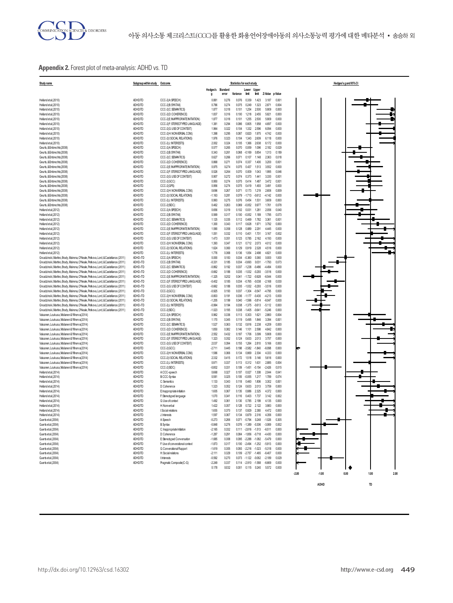## **Appendix 2.** Forest plot of meta-analysis: ADHD vs. TD

| Study name                                                                                                                                                               | Subgroup within study   Outcome |                                                                    |                      |                | Statistics for each study |                                              |                      |                      |                   | Hedges's g and 95%CI |
|--------------------------------------------------------------------------------------------------------------------------------------------------------------------------|---------------------------------|--------------------------------------------------------------------|----------------------|----------------|---------------------------|----------------------------------------------|----------------------|----------------------|-------------------|----------------------|
|                                                                                                                                                                          |                                 |                                                                    | Hedges's Standard    |                |                           | Lower Upper                                  |                      |                      |                   |                      |
|                                                                                                                                                                          |                                 |                                                                    | Я                    | error          | Variance                  | limit                                        | limit                | Z-Value              | p-Value           |                      |
| Helland et al.(2010)                                                                                                                                                     | ADHD/TD                         | CCC-2(A:SPEECH)                                                    | 0.881                | 0.276          | 0.076                     | 0.339                                        | 1423                 | 3.187                | 0.001             |                      |
| Helland et al.(2010)<br>Helland et al.(2010)                                                                                                                             | ADHD/TD<br>ADHD/TD              | CCC-2(B:SYNTAX)<br>CCC-2(C:SEMANTICS)                              | 0.786<br>1.877       | 0.274<br>0.318 | 0.075<br>0.101            | 0.249<br>1.254                               | 1.323<br>2.500       | 2.871<br>5.909       | 0.004<br>0.000    |                      |
| Helland et al.(2010)                                                                                                                                                     | ADHD/TD                         | CCC-2(D:COHERENCE)                                                 | 1.837                | 0.316          | 0.100                     | 1.218                                        | 2.455                | 5.821                | 0.000             |                      |
| Helland et al.(2010)                                                                                                                                                     | ADHD/TD                         | CCC-2(E: NAPPRORIATE INITIATION)                                   | 1.877                | 0.318          | 0.101                     | 1,255                                        | 2.500                | 5.909                | 0.000             |                      |
| Helland et al.(2010)                                                                                                                                                     | ADHD/TD                         | CCC-2(F: STEREOTYPED LANGUAGE)                                     | 1.381                | 0.294          | 0.086                     | 0.805                                        | 1.958                | 4697                 | 0.000             |                      |
| Helland et al.(2010)                                                                                                                                                     | ADHD/TD                         | CCC-2(G:USE OF CONTEXT)                                            | 1.964                | 0.322          | 0.104                     | 1.332                                        | 2.596                | 6.094                | 0.000             |                      |
| Helland et al.(2010)<br>Helland et al.(2010)                                                                                                                             | ADHD/TD<br>ADHD/TD              | CCC-2(H:NONVERBAL COM)<br>CCC-2(I:SOCIAL RELATIONS)                | 1,398<br>1,976       | 0.295<br>0.323 | 0.087<br>0.104            | 0.820<br>1.343                               | 1.975<br>2.609       | 4.742<br>6.118       | 0.000<br>0.000    |                      |
| Helland et al.(2010)                                                                                                                                                     | ADHD/TD                         | CCC-2(J: NTERESTS)                                                 | 2.002                | 0.324          | 0.105                     | 1.366                                        | 2.638                | 6.172                | 0.000             |                      |
| Geurts, & Embrechts (2008)                                                                                                                                               | ADHD/TD                         | CCC-2(A:SPEECH)                                                    | 0.577                | 0.265          | 0.070                     | 0.059                                        | 1.096                | 2.182                | 0.029             |                      |
| Geurts, & Embrechts (2008)                                                                                                                                               | ADHD/TD                         | CCC-2(B: SYNTAX)                                                   | 0.343                | 0.261          | 0.068                     | $-0.169$                                     | 0.854                | 1.313                | 0.189             |                      |
| Geurts, & Embrechts (2008)                                                                                                                                               | ADHD/TD                         | CCC-2(C:SEMANTICS)                                                 | 0.627                | 0.266          | 0.071                     | 0.107                                        | 1.148                | 2,363                | 0.018             |                      |
| Geurts, & Embrechts (2008)<br>Geurts, & Embrechts (2008)                                                                                                                 | ADHD/TD<br>ADHD/TD              | CCC-2(D:COHERENCE)<br>CCC-2(E INAPPRORIATE INITIATION)             | 0.868<br>0.975       | 0.271<br>0.274 | 0.074<br>0.075            | 0.337<br>0.437                               | 1,400<br>1.513       | 3,200<br>3.552       | 0.001<br>0.000    |                      |
| Geurts, & Embrechts (2008)                                                                                                                                               | ADHD/TD                         | CCC-2(F: STEREOTYPED LANGUAGE)                                     | 0.526                | 0.264          | 0.070                     | 0.009                                        | 1.043                | 1.995                | 0.046             |                      |
| Geurts, & Embrechts (2008)                                                                                                                                               | ADHD/TD                         | CCC-2(G:USE OF CONTEXT)                                            | 0.907                | 0.272          | 0.074                     | 0.373                                        | 1441                 | 3.330                | 0.00.             |                      |
| Geurts, & Embrechts (2008)                                                                                                                                               | <b>ADHD/TD</b>                  | CCC-2(GCC)                                                         | 0.950                | 0.274          | 0.075                     | 0.414                                        | 1,487                | 3.472                | 0.00 <sub>1</sub> |                      |
| Geurts, & Embrechts (2008)                                                                                                                                               | ADHD/TD                         | CCC-2(GPS)                                                         | 0.956                | 0.274          | 0.075                     | 0.419                                        | 1,493                | 3.491                | 0.000             |                      |
| Geurts, & Embrechts (2008)<br>Geurts, & Embrechts (2008)                                                                                                                 | ADHD/TD<br>ADHD/TD              | CCC-2(H:NONVERBALCOM)<br>CCC-2(I:SOCIAL RELATIONS)                 | 0.696<br>$-1.163$    | 0.267<br>0.281 | 0.071<br>0.079            | 0.173<br>$-1.713$                            | 1,219<br>$-0.612$    | 2,606<br>$-4.142$    | 0.009<br>0.000    |                      |
| Geurts, & Embrechts (2008)                                                                                                                                               | ADHD/TD                         | CCC-2(J:INTERESTS)                                                 | 0.993                | 0.275          | 0.076                     | 0.454                                        | 1.531                | 3.609                | 0.000             |                      |
| Geurts, & Embrechts (2008)                                                                                                                                               | ADHD/TD                         | CCC-2(SIDC)                                                        | 0.462                | 0.263          | 0.069                     | $-0.052$                                     | 0.977                | 1.761                | 0.078             |                      |
| Helland et al.(2012)                                                                                                                                                     | ADHD/TD                         | CCC-2(A: SPEECH)                                                   | 0.656                | 0.319          | 0.102                     | 0.031                                        | 1,281                | 2.056                | 0.040             |                      |
| Helland et al.(2012)                                                                                                                                                     | ADHD/TD                         | CCC-2(B: SYNTAX)                                                   | 0.569                | 0.317          | 0.100                     | $-0.052$                                     | 1.189                | 1.795                | 0.073             |                      |
| Helland et al.(2012)<br>Helland et al.(2012)                                                                                                                             | ADHD/TD<br>ADHD/TD              | CCC-2(C:SEMANTICS)<br>CCC-2(D:COHERENCE)                           | 1.125<br>1,300       | 0.335<br>0.343 | 0.112<br>0.117            | 0.469<br>0.628                               | 1.782<br>1.971       | 3.361<br>3.792       | 0.001<br>0.000    |                      |
| Helland et al.(2012)                                                                                                                                                     | ADHD/TD                         | CCC-2(E: NAPPRORIATE INITIATION)                                   | 1,590                | 0.358          | 0.128                     | 0.889                                        | 2.291                | 4445                 | 0.000             |                      |
| Helland et al.(2012)                                                                                                                                                     | ADHD/TD                         | CCC-2(F:STEREOTYPED LANGUAGE)                                      | 1.051                | 0.332          | 0.110                     | 0.401                                        | 1.701                | 3.167                | 0.002             |                      |
| Helland et al.(2012)                                                                                                                                                     | ADHD/TD                         | CCC-2(G:USE OF CONTEXT)                                            | 1.473                | 0.351          | 0.123                     | 0.785                                        | 2.162                | 4.193                | 0.000             |                      |
| Helland et al.(2012)                                                                                                                                                     | ADHD/TD                         | CCC-2(H:NONVERBAL COM)                                             | 1,393                | 0.347          | 0.121                     | 0.712                                        | 2.073                | 4.012                | 0.000             |                      |
| Helland et al.(2012)<br>Helland et al.(2012)                                                                                                                             | ADHD/TD<br>ADHD/TD              | CCC-2(I:SOCIAL RELATIONS)<br>CCC-2(J: NTERESTS)                    | 1.624<br>1.776       | 0.360<br>0.368 | 0.129<br>0.136            | 0.919<br>1.054                               | 2.328<br>2498        | 4,516<br>4821        | 0.000<br>0.000    |                      |
| Grxadzinski, Martino, Brady, Mairena, O'Neale, Petkova, Lord, & Castellanos (2011)                                                                                       | ADHD-/TD                        | CCC-2(A:SPEECH)                                                    | 0.000                | 0.183          | 0.034                     | $-0.360$                                     | 0.360                | 0.000                | 1.000             |                      |
| Grxadzinski, Martino, Brady, Mairena, O'Neale, Petkova, Lord, & Castellanos (2011)                                                                                       | ADHD-/TD                        | CCC-2(B: SYNTAX)                                                   | $-0.331$             | 0.185          | 0.034                     | $-0.693$                                     | 0.031                | $-1.793$             | 0.073             |                      |
| Grxadzinski, Martino, Brady, Mairena, O'Neale, Petkova, Lord, & Castellanos (2011)                                                                                       | ADHD-/TD                        | CCC-2(C:SEMANTICS)                                                 | $-0.862$             | 0.192          | 0.037                     | $-1,238$                                     | $-0.486$             | $-4.494$             | 0.000             |                      |
| Grxadzinski, Martino, Brady, Mairena, O'Neale, Petkova, Lord, & Castellanos (2011)                                                                                       | ADHD-/TD                        | CCC-2(D:COHERENCE)                                                 | $-0.662$             | 0.188          | 0.035                     | $-1.032$                                     | $-0.293$             | $-3.516$             | 0.000             |                      |
| Grxadzinski, Martino, Brady, Mairena, O'Neale, Petkova, Lord, & Castellanos (2011)<br>Grxadzinski, Martino, Brady, Mairena, O'Neale, Petkova, Lord, & Castellanos (2011) | ADHD-/TD<br>ADHD-/TD            | CCC-2(E INAPPRORIATE NITIATION)<br>CCC-2(F: STEREOTYPED LANGUAGE)  | $-1.325$<br>$-0.402$ | 0.202          | 0.041<br>0.034            | $-1.722$                                     | $-0.928$<br>$-0.038$ | $-6.544$             | 0.000<br>0.030    |                      |
| Grxadzinski, Martino, Brady, Mairena, O'Neale, Petkova, Lord, & Castellanos (2011)                                                                                       | ADHD-/TD                        | CCC-2(G:USE OF CONTEXT)                                            | $-0.662$             | 0.185<br>0.188 | 0.035                     | $-0.765$<br>$-1.032$                         | $-0.293$             | $-2.168$<br>$-3.516$ | 0.000             |                      |
| Grxadzinski, Martino, Brady, Mairena, O'Neale, Petkova, Lord, & Castellanos (2011)                                                                                       | ADHD-/TD                        | CCC-2(GCC)                                                         | $-0.925$             | 0.193          | 0.037                     | $-1.304$                                     | $-0.547$             | $-4.795$             | 0.000             |                      |
| Grxadzinski, Martino, Brady, Mairena, O'Neale, Petkova, Lord, & Castellanos (2011)                                                                                       | ADHD-/TD                        | CCC-2(H:NONVERBAL COM)                                             | $-0.803$             | 0.191          | 0.036                     | $-1.177$                                     | $-0.430$             | $-4213$              | 0.000             |                      |
| Grxadzinski, Martino, Brady, Mairena, O'Neale, Pelkova, Lord, & Castellanos (2011)                                                                                       | ADHD-/TD                        | CCC-2(I:SOCIAL RELATIONS)                                          | $-1205$              | 0.199          | 0.040                     | $-1.596$                                     | $-0.814$             | $-6.047$             | 0.000             |                      |
| Grxadzinski, Martino, Brady, Mairena, O'Neale, Petkova, Lord, & Castellanos (2011)<br>Grxadzinski, Martino, Brady, Mairena, O'Neale, Petkova, Lord, & Castellanos (2011) | ADHD-/TD<br>ADHD-/TD            | CCC-2(J:INTERESTS)<br>CCC-2(SIDC)                                  | $-0.994$<br>$-1.023$ | 0.194<br>0.195 | 0.038<br>0.038            | $-1.375$<br>$-1.405$                         | $-0.613$<br>$-0.641$ | $-5.112$<br>$-5.246$ | 0.000<br>0.000    |                      |
| Vaisanen, Loukusa, Moilanen & Yliherva(2014)                                                                                                                             | ADHD/TD                         | CCC-2(A:SPEECH)                                                    | 0.962                | 0.336          | 0.113                     | 0.303                                        | 1.621                | 2.860                | 0.004             |                      |
| Vaisanen, Loukusa, Moilanen & Yliherva(2014)                                                                                                                             | ADHD/TD                         | CCC-2(B:SYNTAX)                                                    | 1.170                | 0.345          | 0.119                     | 0.495                                        | 1.846                | 3.394                | 0.001             |                      |
| Vaisanen, Loukusa, Moilanen & Yliherva(2014)                                                                                                                             | ADHD/TD                         | CCC-2(C:SEMANTICS)                                                 | 1.527                | 0.363          | 0.132                     | 0.816                                        | 2238                 | 4209                 | 0.000             |                      |
| Vaisanen, Loukusa, Moilanen & Yliherva(2014)                                                                                                                             | ADHD/TD                         | CCC-2(D:COHERENCE)                                                 | 1.850                | 0.382          | 0.146                     | 1.101                                        | 2.598                | 4842                 | 0.000             |                      |
| Vaisanen, Loukusa, Moilanen & Yliherva(2014)<br>Vaisanen, Loukusa, Moilanen & Yliherva(2014)                                                                             | ADHD/TD<br>ADHD/TD              | CCC-2(E: INAPPRORIATE INITIATION)<br>CCC-2(F:STEREOTYPED LANGUAGE) | 2.552<br>1,323       | 0.432<br>0.352 | 0.187<br>0.124            | 1.706<br>0.633                               | 3.399<br>2.013       | 5,908<br>3.757       | 0.000<br>0.000    |                      |
| Vaisanen, Loukusa, Moilanen & Yliherva(2014)                                                                                                                             | ADHD/TD                         | CCC-2(G:USE OF CONTEXT)                                            | 2.037                | 0.394          | 0.155                     | 1.264                                        | 2.810                | 5.166                | 0.000             |                      |
| Vaisanen, Loukusa, Moilanen & Yliherva(2014)                                                                                                                             | ADHD/TD                         | CCC-2(GCC)                                                         | $-2.711$             | 0.445          | 0.198                     | $-3.582$                                     | $-1.840$             | $-6.098$             | 0.000             |                      |
| Vaisanen, Loukusa, Moilanen & Yliherva(2014)                                                                                                                             | ADHD/TD                         | CCC-2(H:NONVERBALCOM)                                              | 1,586                | 0.366          | 0.134                     | 0.869                                        | 2.304                | 4333                 | 0.000             |                      |
| Vaisanen, Loukusa, Moilanen & Yliherva(2014)                                                                                                                             | ADHD/TD                         | CCC-2(I:SOCIAL RELATIONS)                                          | 2.332                | 0.415          | 0.172                     | 1.518                                        | 3.146                | 5,616                | 0.000             |                      |
| Vaisanen, Loukusa, Moilanen & Yliherva(2014)<br>Vaisanen, Loukusa, Moilanen & Yliherva(2014)                                                                             | ADHD/TD<br>ADHD/TD              | CCC-2(J: INTERESTS)<br>CCC-2(SIDC)                                 | 0.971<br>$-0.802$    | 0.337<br>0.331 | 0.113<br>0.109            | 0.312<br>$-1.451$                            | 1.631<br>$-0.154$    | 2,885<br>$-2.426$    | 0.004<br>0.015    |                      |
| Helland et al.(2014)                                                                                                                                                     | ADHD/TD                         | A:CCC-speech                                                       | 0.668                | 0.327          | 0.107                     | 0.027                                        | 1,308                | 2.044                | 0.041             |                      |
| Helland et al.(2014)                                                                                                                                                     | ADHD/TD                         | B:CCC-Syntax                                                       | 0.581                | 0.325          | 0.105                     | $-0.055$                                     | 1,217                | 1.789                | 0.074             |                      |
| Helland et al.(2014)                                                                                                                                                     | ADHD/TD                         | C:Semantics                                                        | 1.133                | 0.343          | 0.118                     | 0.460                                        | 1,806                | 3,302                | 0.00              |                      |
| Helland et al.(2014)<br>Helland et al.(2014)                                                                                                                             | ADHD/TD<br>ADHD/TD              | D:Coherence<br>E Inappropriate initiation                          | 1.323<br>1.605       | 0.352<br>0.367 | 0.124<br>0.135            | 0.633<br>0.886                               | 2.013<br>2.325       | 3.759<br>4,372       | 0.000<br>0.000    |                      |
| Helland et al.(2014)                                                                                                                                                     | ADHD/TD                         | F:Stereotyped language                                             | 1.070                | 0.341          | 0.116                     | 0.403                                        | 1.737                | 3.142                | 0.002             |                      |
| Helland et al.(2014)                                                                                                                                                     | ADHD/TD                         | G:Use of context                                                   | 1492                 | 0.361          | 0.130                     | 0.785                                        | 2.199                | 4.135                | 0.000             |                      |
| Helland et al.(2014)                                                                                                                                                     | ADHD/TD                         | H:Nonverbal                                                        | 1.422                | 0.357          | 0.128                     | 0.722                                        | 2.122                | 3.983                | 0.000             |                      |
| Helland et al.(2014)                                                                                                                                                     | ADHD/TD                         | I: Social relations                                                | 1.655                | 0.370          | 0.137                     | 0.929                                        | 2,380                | 4,472                | 0.000             |                      |
| Helland et al.(2014)                                                                                                                                                     | adhd/TD                         | J: Interests                                                       | 1.597                | 0.367          | 0.134                     | 0.879                                        | 2,316                | 4,356                | 0.000             |                      |
| Guerts etal.(2004)<br>Guerts etal.(2004)                                                                                                                                 | ADHD/TD<br>ADHD/TD              | A: Speech<br>B: Syntax                                             | $-0.273$<br>$-0.848$ | 0.266<br>0.276 |                           | 0.071 -0.794 0.248<br>$0.076 - 1.389$        | $-0.306$             | $-1.026$<br>$-3.069$ | 0.305<br>0.002    |                      |
| Guerts etal.(2004)                                                                                                                                                       | ADHD/TD                         | C: happropriate Initiation                                         | $-2.165$             | 0.332          |                           | $0.111 - 2.816$                              | $-1.513$             | $-6.511$             | 0.000             |                      |
| Guerts etal.(2004)                                                                                                                                                       | <b>ADHD/TD</b>                  | D:Coherence                                                        | $-1287$              | 0.291          | 0.084                     | $-1.856$                                     | $-0.718$             | $-4.430$             | 0.000             |                      |
| Guerts etal.(2004)                                                                                                                                                       | ADHD/TD                         | E: Stereotyped Conversation                                        | $-1.685$             | 0.308          | 0.095                     | $-2.288$                                     | $-1.082$             | $-5.479$             | 0.000             |                      |
| Guerts etal.(2004)                                                                                                                                                       | ADHD/TD<br>ADHD/TD              | F:Use of converational context<br>G:Converational Rapport          | $-1.873$             | 0.317          |                           | $0.100 - 2.494$                              | $-1.252$             | $-5.913$             | 0.000             |                      |
| Guerts etal.(2004)<br>Guerts etal.(2004)                                                                                                                                 | ADHD/TD                         | H:Social relations                                                 | $-1.619$<br>$-2.111$ | 0.305<br>0.329 |                           | 0.093 -2.216 -1.023<br>$0.109 -2.757 -1.465$ |                      | $-5.318$<br>$-6407$  | 0.000<br>0.000    |                      |
| Guerts etal.(2004)                                                                                                                                                       | <b>ADHD/TD</b>                  | l: Interests                                                       | $-0.592$             | 0.270          |                           | 0.073 -1.122                                 | $-0.062$             | $-2.189$             | 0.029             |                      |
| Guerts etal.(2004)                                                                                                                                                       | <b>ADHD/TD</b>                  | Pragmatic Composite(C-G)                                           | $-2249$              | 0.337          |                           | $0.114 - 2.910$                              | $-1.588$             | $-6.669$             | 0.000             |                      |
|                                                                                                                                                                          |                                 |                                                                    | 0.178                | 0.032          |                           | 0.001 0.115 0.240                            |                      | 5.572                | 0.000             |                      |

**-2.00 -1.00 0.00 1.00 2.00 ADHD TD**